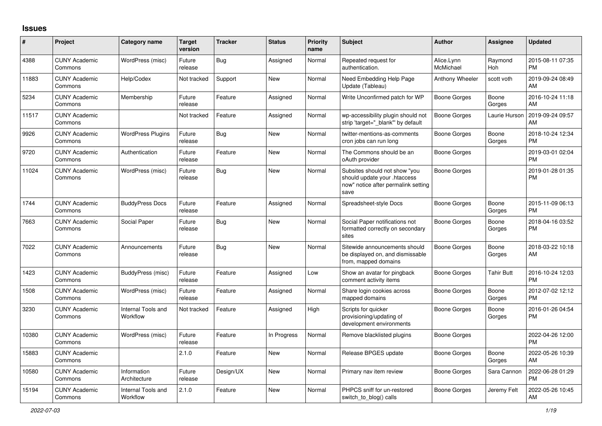## **Issues**

| #     | Project                         | <b>Category name</b>           | <b>Target</b><br>version | <b>Tracker</b> | <b>Status</b> | <b>Priority</b><br>name | <b>Subject</b>                                                                                               | <b>Author</b>           | Assignee          | <b>Updated</b>                |
|-------|---------------------------------|--------------------------------|--------------------------|----------------|---------------|-------------------------|--------------------------------------------------------------------------------------------------------------|-------------------------|-------------------|-------------------------------|
| 4388  | <b>CUNY Academic</b><br>Commons | WordPress (misc)               | Future<br>release        | Bug            | Assigned      | Normal                  | Repeated request for<br>authentication.                                                                      | Alice.Lynn<br>McMichael | Raymond<br>Hoh    | 2015-08-11 07:35<br><b>PM</b> |
| 11883 | <b>CUNY Academic</b><br>Commons | Help/Codex                     | Not tracked              | Support        | New           | Normal                  | Need Embedding Help Page<br>Update (Tableau)                                                                 | Anthony Wheeler         | scott voth        | 2019-09-24 08:49<br>AM        |
| 5234  | <b>CUNY Academic</b><br>Commons | Membership                     | Future<br>release        | Feature        | Assigned      | Normal                  | Write Unconfirmed patch for WP                                                                               | Boone Gorges            | Boone<br>Gorges   | 2016-10-24 11:18<br>AM        |
| 11517 | <b>CUNY Academic</b><br>Commons |                                | Not tracked              | Feature        | Assigned      | Normal                  | wp-accessibility plugin should not<br>strip 'target=" blank" by default                                      | Boone Gorges            | Laurie Hurson     | 2019-09-24 09:57<br>AM        |
| 9926  | <b>CUNY Academic</b><br>Commons | <b>WordPress Plugins</b>       | Future<br>release        | Bug            | New           | Normal                  | twitter-mentions-as-comments<br>cron jobs can run long                                                       | Boone Gorges            | Boone<br>Gorges   | 2018-10-24 12:34<br><b>PM</b> |
| 9720  | <b>CUNY Academic</b><br>Commons | Authentication                 | Future<br>release        | Feature        | New           | Normal                  | The Commons should be an<br>oAuth provider                                                                   | Boone Gorges            |                   | 2019-03-01 02:04<br><b>PM</b> |
| 11024 | <b>CUNY Academic</b><br>Commons | WordPress (misc)               | Future<br>release        | Bug            | New           | Normal                  | Subsites should not show "you<br>should update your .htaccess<br>now" notice after permalink setting<br>save | Boone Gorges            |                   | 2019-01-28 01:35<br><b>PM</b> |
| 1744  | <b>CUNY Academic</b><br>Commons | <b>BuddyPress Docs</b>         | Future<br>release        | Feature        | Assigned      | Normal                  | Spreadsheet-style Docs                                                                                       | Boone Gorges            | Boone<br>Gorges   | 2015-11-09 06:13<br><b>PM</b> |
| 7663  | <b>CUNY Academic</b><br>Commons | Social Paper                   | Future<br>release        | Bug            | New           | Normal                  | Social Paper notifications not<br>formatted correctly on secondary<br>sites                                  | Boone Gorges            | Boone<br>Gorges   | 2018-04-16 03:52<br><b>PM</b> |
| 7022  | <b>CUNY Academic</b><br>Commons | Announcements                  | Future<br>release        | Bug            | <b>New</b>    | Normal                  | Sitewide announcements should<br>be displayed on, and dismissable<br>from, mapped domains                    | Boone Gorges            | Boone<br>Gorges   | 2018-03-22 10:18<br>AM        |
| 1423  | <b>CUNY Academic</b><br>Commons | BuddyPress (misc)              | Future<br>release        | Feature        | Assigned      | Low                     | Show an avatar for pingback<br>comment activity items                                                        | Boone Gorges            | <b>Tahir Butt</b> | 2016-10-24 12:03<br><b>PM</b> |
| 1508  | <b>CUNY Academic</b><br>Commons | WordPress (misc)               | Future<br>release        | Feature        | Assigned      | Normal                  | Share login cookies across<br>mapped domains                                                                 | Boone Gorges            | Boone<br>Gorges   | 2012-07-02 12:12<br><b>PM</b> |
| 3230  | <b>CUNY Academic</b><br>Commons | Internal Tools and<br>Workflow | Not tracked              | Feature        | Assigned      | High                    | Scripts for quicker<br>provisioning/updating of<br>development environments                                  | Boone Gorges            | Boone<br>Gorges   | 2016-01-26 04:54<br><b>PM</b> |
| 10380 | <b>CUNY Academic</b><br>Commons | WordPress (misc)               | Future<br>release        | Feature        | In Progress   | Normal                  | Remove blacklisted plugins                                                                                   | Boone Gorges            |                   | 2022-04-26 12:00<br><b>PM</b> |
| 15883 | <b>CUNY Academic</b><br>Commons |                                | 2.1.0                    | Feature        | <b>New</b>    | Normal                  | Release BPGES update                                                                                         | Boone Gorges            | Boone<br>Gorges   | 2022-05-26 10:39<br>AM        |
| 10580 | <b>CUNY Academic</b><br>Commons | Information<br>Architecture    | Future<br>release        | Design/UX      | <b>New</b>    | Normal                  | Primary nav item review                                                                                      | Boone Gorges            | Sara Cannon       | 2022-06-28 01:29<br><b>PM</b> |
| 15194 | <b>CUNY Academic</b><br>Commons | Internal Tools and<br>Workflow | 2.1.0                    | Feature        | <b>New</b>    | Normal                  | PHPCS sniff for un-restored<br>switch_to_blog() calls                                                        | Boone Gorges            | Jeremy Felt       | 2022-05-26 10:45<br>AM        |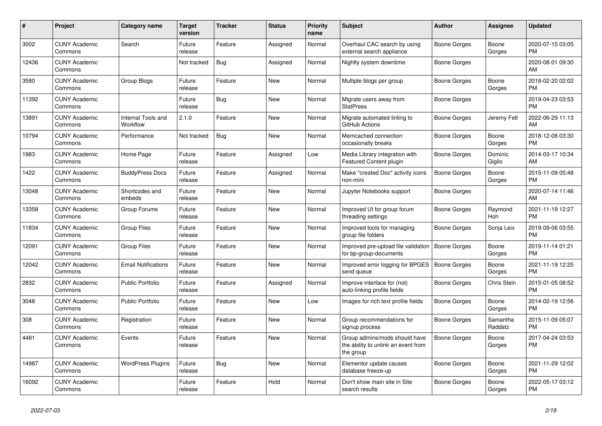| #     | <b>Project</b>                  | Category name                  | <b>Target</b><br>version | <b>Tracker</b> | <b>Status</b> | Priority<br>name | <b>Subject</b>                                                                    | <b>Author</b> | Assignee            | <b>Updated</b>                |
|-------|---------------------------------|--------------------------------|--------------------------|----------------|---------------|------------------|-----------------------------------------------------------------------------------|---------------|---------------------|-------------------------------|
| 3002  | <b>CUNY Academic</b><br>Commons | Search                         | Future<br>release        | Feature        | Assigned      | Normal           | Overhaul CAC search by using<br>external search appliance                         | Boone Gorges  | Boone<br>Gorges     | 2020-07-15 03:05<br><b>PM</b> |
| 12436 | <b>CUNY Academic</b><br>Commons |                                | Not tracked              | <b>Bug</b>     | Assigned      | Normal           | Nightly system downtime                                                           | Boone Gorges  |                     | 2020-08-01 09:30<br>AM        |
| 3580  | <b>CUNY Academic</b><br>Commons | Group Blogs                    | Future<br>release        | Feature        | <b>New</b>    | Normal           | Multiple blogs per group                                                          | Boone Gorges  | Boone<br>Gorges     | 2018-02-20 02:02<br><b>PM</b> |
| 11392 | <b>CUNY Academic</b><br>Commons |                                | Future<br>release        | Bug            | <b>New</b>    | Normal           | Migrate users away from<br><b>StatPress</b>                                       | Boone Gorges  |                     | 2019-04-23 03:53<br><b>PM</b> |
| 13891 | <b>CUNY Academic</b><br>Commons | Internal Tools and<br>Workflow | 2.1.0                    | Feature        | New           | Normal           | Migrate automated linting to<br>GitHub Actions                                    | Boone Gorges  | Jeremy Felt         | 2022-06-29 11:13<br>AM        |
| 10794 | <b>CUNY Academic</b><br>Commons | Performance                    | Not tracked              | Bug            | New           | Normal           | Memcached connection<br>occasionally breaks                                       | Boone Gorges  | Boone<br>Gorges     | 2018-12-06 03:30<br><b>PM</b> |
| 1983  | <b>CUNY Academic</b><br>Commons | Home Page                      | Future<br>release        | Feature        | Assigned      | Low              | Media Library integration with<br>Featured Content plugin                         | Boone Gorges  | Dominic<br>Giglio   | 2014-03-17 10:34<br>AM        |
| 1422  | <b>CUNY Academic</b><br>Commons | <b>BuddyPress Docs</b>         | Future<br>release        | Feature        | Assigned      | Normal           | Make "created Doc" activity icons<br>non-mini                                     | Boone Gorges  | Boone<br>Gorges     | 2015-11-09 05:48<br><b>PM</b> |
| 13048 | <b>CUNY Academic</b><br>Commons | Shortcodes and<br>embeds       | Future<br>release        | Feature        | New           | Normal           | Jupyter Notebooks support                                                         | Boone Gorges  |                     | 2020-07-14 11:46<br>AM        |
| 13358 | <b>CUNY Academic</b><br>Commons | Group Forums                   | Future<br>release        | Feature        | <b>New</b>    | Normal           | Improved UI for group forum<br>threading settings                                 | Boone Gorges  | Raymond<br>Hoh      | 2021-11-19 12:27<br><b>PM</b> |
| 11834 | <b>CUNY Academic</b><br>Commons | <b>Group Files</b>             | Future<br>release        | Feature        | New           | Normal           | Improved tools for managing<br>group file folders                                 | Boone Gorges  | Sonja Leix          | 2019-09-06 03:55<br><b>PM</b> |
| 12091 | <b>CUNY Academic</b><br>Commons | <b>Group Files</b>             | Future<br>release        | Feature        | New           | Normal           | Improved pre-upload file validation<br>for bp-group-documents                     | Boone Gorges  | Boone<br>Gorges     | 2019-11-14 01:21<br><b>PM</b> |
| 12042 | <b>CUNY Academic</b><br>Commons | <b>Email Notifications</b>     | Future<br>release        | Feature        | <b>New</b>    | Normal           | Improved error logging for BPGES<br>send queue                                    | Boone Gorges  | Boone<br>Gorges     | 2021-11-19 12:25<br><b>PM</b> |
| 2832  | <b>CUNY Academic</b><br>Commons | Public Portfolio               | Future<br>release        | Feature        | Assigned      | Normal           | Improve interface for (not)<br>auto-linking profile fields                        | Boone Gorges  | Chris Stein         | 2015-01-05 08:52<br><b>PM</b> |
| 3048  | <b>CUNY Academic</b><br>Commons | <b>Public Portfolio</b>        | Future<br>release        | Feature        | New           | Low              | Images for rich text profile fields                                               | Boone Gorges  | Boone<br>Gorges     | 2014-02-19 12:56<br><b>PM</b> |
| 308   | <b>CUNY Academic</b><br>Commons | Registration                   | Future<br>release        | Feature        | <b>New</b>    | Normal           | Group recommendations for<br>signup process                                       | Boone Gorges  | Samantha<br>Raddatz | 2015-11-09 05:07<br><b>PM</b> |
| 4481  | <b>CUNY Academic</b><br>Commons | Events                         | Future<br>release        | Feature        | New           | Normal           | Group admins/mods should have<br>the ability to unlink an event from<br>the group | Boone Gorges  | Boone<br>Gorges     | 2017-04-24 03:53<br><b>PM</b> |
| 14987 | <b>CUNY Academic</b><br>Commons | <b>WordPress Plugins</b>       | Future<br>release        | Bug            | <b>New</b>    | Normal           | Elementor update causes<br>database freeze-up                                     | Boone Gorges  | Boone<br>Gorges     | 2021-11-29 12:02<br><b>PM</b> |
| 16092 | <b>CUNY Academic</b><br>Commons |                                | Future<br>release        | Feature        | Hold          | Normal           | Don't show main site in Site<br>search results                                    | Boone Gorges  | Boone<br>Gorges     | 2022-05-17 03:12<br><b>PM</b> |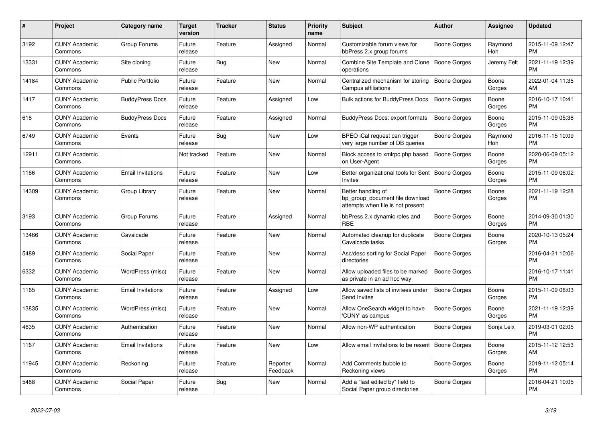| #     | <b>Project</b>                  | Category name            | Target<br>version | <b>Tracker</b> | <b>Status</b>        | Priority<br>name | <b>Subject</b>                                                                             | <b>Author</b>       | Assignee        | <b>Updated</b>                |
|-------|---------------------------------|--------------------------|-------------------|----------------|----------------------|------------------|--------------------------------------------------------------------------------------------|---------------------|-----------------|-------------------------------|
| 3192  | <b>CUNY Academic</b><br>Commons | Group Forums             | Future<br>release | Feature        | Assigned             | Normal           | Customizable forum views for<br>bbPress 2.x group forums                                   | Boone Gorges        | Raymond<br>Hoh  | 2015-11-09 12:47<br><b>PM</b> |
| 13331 | <b>CUNY Academic</b><br>Commons | Site cloning             | Future<br>release | Bug            | New                  | Normal           | Combine Site Template and Clone<br>operations                                              | Boone Gorges        | Jeremy Felt     | 2021-11-19 12:39<br><b>PM</b> |
| 14184 | <b>CUNY Academic</b><br>Commons | <b>Public Portfolio</b>  | Future<br>release | Feature        | <b>New</b>           | Normal           | Centralized mechanism for storing<br>Campus affiliations                                   | Boone Gorges        | Boone<br>Gorges | 2022-01-04 11:35<br><b>AM</b> |
| 1417  | <b>CUNY Academic</b><br>Commons | <b>BuddyPress Docs</b>   | Future<br>release | Feature        | Assigned             | Low              | <b>Bulk actions for BuddyPress Docs</b>                                                    | <b>Boone Gorges</b> | Boone<br>Gorges | 2016-10-17 10:41<br><b>PM</b> |
| 618   | <b>CUNY Academic</b><br>Commons | <b>BuddyPress Docs</b>   | Future<br>release | Feature        | Assigned             | Normal           | BuddyPress Docs: export formats                                                            | Boone Gorges        | Boone<br>Gorges | 2015-11-09 05:38<br><b>PM</b> |
| 6749  | <b>CUNY Academic</b><br>Commons | Events                   | Future<br>release | Bug            | New                  | Low              | BPEO iCal request can trigger<br>very large number of DB queries                           | Boone Gorges        | Raymond<br>Hoh  | 2016-11-15 10:09<br><b>PM</b> |
| 12911 | <b>CUNY Academic</b><br>Commons |                          | Not tracked       | Feature        | <b>New</b>           | Normal           | Block access to xmlrpc.php based<br>on User-Agent                                          | <b>Boone Gorges</b> | Boone<br>Gorges | 2020-06-09 05:12<br><b>PM</b> |
| 1166  | <b>CUNY Academic</b><br>Commons | <b>Email Invitations</b> | Future<br>release | Feature        | <b>New</b>           | Low              | Better organizational tools for Sent<br><b>Invites</b>                                     | Boone Gorges        | Boone<br>Gorges | 2015-11-09 06:02<br>PM        |
| 14309 | <b>CUNY Academic</b><br>Commons | Group Library            | Future<br>release | Feature        | <b>New</b>           | Normal           | Better handling of<br>bp_group_document file download<br>attempts when file is not present | Boone Gorges        | Boone<br>Gorges | 2021-11-19 12:28<br><b>PM</b> |
| 3193  | <b>CUNY Academic</b><br>Commons | Group Forums             | Future<br>release | Feature        | Assigned             | Normal           | bbPress 2.x dynamic roles and<br><b>RBE</b>                                                | Boone Gorges        | Boone<br>Gorges | 2014-09-30 01:30<br><b>PM</b> |
| 13466 | <b>CUNY Academic</b><br>Commons | Cavalcade                | Future<br>release | Feature        | New                  | Normal           | Automated cleanup for duplicate<br>Cavalcade tasks                                         | Boone Gorges        | Boone<br>Gorges | 2020-10-13 05:24<br><b>PM</b> |
| 5489  | <b>CUNY Academic</b><br>Commons | Social Paper             | Future<br>release | Feature        | New                  | Normal           | Asc/desc sorting for Social Paper<br>directories                                           | Boone Gorges        |                 | 2016-04-21 10:06<br><b>PM</b> |
| 6332  | <b>CUNY Academic</b><br>Commons | WordPress (misc)         | Future<br>release | Feature        | <b>New</b>           | Normal           | Allow uploaded files to be marked<br>as private in an ad hoc way                           | Boone Gorges        |                 | 2016-10-17 11:41<br><b>PM</b> |
| 1165  | <b>CUNY Academic</b><br>Commons | Email Invitations        | Future<br>release | Feature        | Assigned             | Low              | Allow saved lists of invitees under<br>Send Invites                                        | Boone Gorges        | Boone<br>Gorges | 2015-11-09 06:03<br><b>PM</b> |
| 13835 | <b>CUNY Academic</b><br>Commons | WordPress (misc)         | Future<br>release | Feature        | New                  | Normal           | Allow OneSearch widget to have<br>'CUNY' as campus                                         | Boone Gorges        | Boone<br>Gorges | 2021-11-19 12:39<br><b>PM</b> |
| 4635  | <b>CUNY Academic</b><br>Commons | Authentication           | Future<br>release | Feature        | New                  | Normal           | Allow non-WP authentication                                                                | Boone Gorges        | Sonja Leix      | 2019-03-01 02:05<br><b>PM</b> |
| 1167  | <b>CUNY Academic</b><br>Commons | <b>Email Invitations</b> | Future<br>release | Feature        | <b>New</b>           | Low              | Allow email invitations to be resent                                                       | Boone Gorges        | Boone<br>Gorges | 2015-11-12 12:53<br>AM        |
| 11945 | <b>CUNY Academic</b><br>Commons | Reckoning                | Future<br>release | Feature        | Reporter<br>Feedback | Normal           | Add Comments bubble to<br>Reckoning views                                                  | Boone Gorges        | Boone<br>Gorges | 2019-11-12 05:14<br><b>PM</b> |
| 5488  | <b>CUNY Academic</b><br>Commons | Social Paper             | Future<br>release | Bug            | <b>New</b>           | Normal           | Add a "last edited by" field to<br>Social Paper group directories                          | Boone Gorges        |                 | 2016-04-21 10:05<br><b>PM</b> |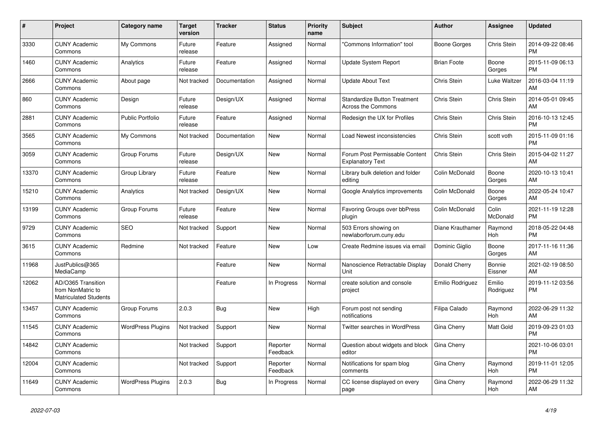| #     | Project                                                          | <b>Category name</b>     | <b>Target</b><br>version | <b>Tracker</b> | <b>Status</b>        | <b>Priority</b><br>name | <b>Subject</b>                                                   | <b>Author</b>      | Assignee            | <b>Updated</b>                |
|-------|------------------------------------------------------------------|--------------------------|--------------------------|----------------|----------------------|-------------------------|------------------------------------------------------------------|--------------------|---------------------|-------------------------------|
| 3330  | <b>CUNY Academic</b><br>Commons                                  | My Commons               | Future<br>release        | Feature        | Assigned             | Normal                  | "Commons Information" tool                                       | Boone Gorges       | Chris Stein         | 2014-09-22 08:46<br><b>PM</b> |
| 1460  | <b>CUNY Academic</b><br>Commons                                  | Analytics                | Future<br>release        | Feature        | Assigned             | Normal                  | <b>Update System Report</b>                                      | <b>Brian Foote</b> | Boone<br>Gorges     | 2015-11-09 06:13<br><b>PM</b> |
| 2666  | <b>CUNY Academic</b><br>Commons                                  | About page               | Not tracked              | Documentation  | Assigned             | Normal                  | Update About Text                                                | Chris Stein        | Luke Waltzer        | 2016-03-04 11:19<br>AM        |
| 860   | <b>CUNY Academic</b><br>Commons                                  | Design                   | Future<br>release        | Design/UX      | Assigned             | Normal                  | <b>Standardize Button Treatment</b><br><b>Across the Commons</b> | Chris Stein        | Chris Stein         | 2014-05-01 09:45<br>AM        |
| 2881  | <b>CUNY Academic</b><br>Commons                                  | <b>Public Portfolio</b>  | Future<br>release        | Feature        | Assigned             | Normal                  | Redesign the UX for Profiles                                     | Chris Stein        | Chris Stein         | 2016-10-13 12:45<br><b>PM</b> |
| 3565  | <b>CUNY Academic</b><br>Commons                                  | My Commons               | Not tracked              | Documentation  | New                  | Normal                  | Load Newest inconsistencies                                      | Chris Stein        | scott voth          | 2015-11-09 01:16<br><b>PM</b> |
| 3059  | <b>CUNY Academic</b><br>Commons                                  | Group Forums             | Future<br>release        | Design/UX      | <b>New</b>           | Normal                  | Forum Post Permissable Content<br><b>Explanatory Text</b>        | Chris Stein        | Chris Stein         | 2015-04-02 11:27<br>AM        |
| 13370 | <b>CUNY Academic</b><br>Commons                                  | Group Library            | Future<br>release        | Feature        | <b>New</b>           | Normal                  | Library bulk deletion and folder<br>editing                      | Colin McDonald     | Boone<br>Gorges     | 2020-10-13 10:41<br>AM        |
| 15210 | <b>CUNY Academic</b><br>Commons                                  | Analytics                | Not tracked              | Design/UX      | <b>New</b>           | Normal                  | Google Analytics improvements                                    | Colin McDonald     | Boone<br>Gorges     | 2022-05-24 10:47<br>AM        |
| 13199 | <b>CUNY Academic</b><br>Commons                                  | Group Forums             | Future<br>release        | Feature        | <b>New</b>           | Normal                  | Favoring Groups over bbPress<br>plugin                           | Colin McDonald     | Colin<br>McDonald   | 2021-11-19 12:28<br><b>PM</b> |
| 9729  | <b>CUNY Academic</b><br>Commons                                  | <b>SEO</b>               | Not tracked              | Support        | <b>New</b>           | Normal                  | 503 Errors showing on<br>newlaborforum.cuny.edu                  | Diane Krauthamer   | Raymond<br>Hoh      | 2018-05-22 04:48<br><b>PM</b> |
| 3615  | <b>CUNY Academic</b><br>Commons                                  | Redmine                  | Not tracked              | Feature        | New                  | Low                     | Create Redmine issues via email                                  | Dominic Giglio     | Boone<br>Gorges     | 2017-11-16 11:36<br>AM        |
| 11968 | JustPublics@365<br>MediaCamp                                     |                          |                          | Feature        | New                  | Normal                  | Nanoscience Retractable Display<br>Unit                          | Donald Cherry      | Bonnie<br>Eissner   | 2021-02-19 08:50<br>AM        |
| 12062 | AD/O365 Transition<br>from NonMatric to<br>Matriculated Students |                          |                          | Feature        | In Progress          | Normal                  | create solution and console<br>project                           | Emilio Rodriguez   | Emilio<br>Rodriguez | 2019-11-12 03:56<br><b>PM</b> |
| 13457 | <b>CUNY Academic</b><br>Commons                                  | Group Forums             | 2.0.3                    | <b>Bug</b>     | <b>New</b>           | High                    | Forum post not sending<br>notifications                          | Filipa Calado      | Raymond<br>Hoh      | 2022-06-29 11:32<br>AM        |
| 11545 | <b>CUNY Academic</b><br>Commons                                  | <b>WordPress Plugins</b> | Not tracked              | Support        | <b>New</b>           | Normal                  | Twitter searches in WordPress                                    | Gina Cherry        | Matt Gold           | 2019-09-23 01:03<br><b>PM</b> |
| 14842 | <b>CUNY Academic</b><br>Commons                                  |                          | Not tracked              | Support        | Reporter<br>Feedback | Normal                  | Question about widgets and block<br>editor                       | Gina Cherry        |                     | 2021-10-06 03:01<br><b>PM</b> |
| 12004 | <b>CUNY Academic</b><br>Commons                                  |                          | Not tracked              | Support        | Reporter<br>Feedback | Normal                  | Notifications for spam blog<br>comments                          | Gina Cherry        | Raymond<br>Hoh      | 2019-11-01 12:05<br><b>PM</b> |
| 11649 | <b>CUNY Academic</b><br>Commons                                  | <b>WordPress Plugins</b> | 2.0.3                    | <b>Bug</b>     | In Progress          | Normal                  | CC license displayed on every<br>page                            | Gina Cherry        | Raymond<br>Hoh      | 2022-06-29 11:32<br>AM        |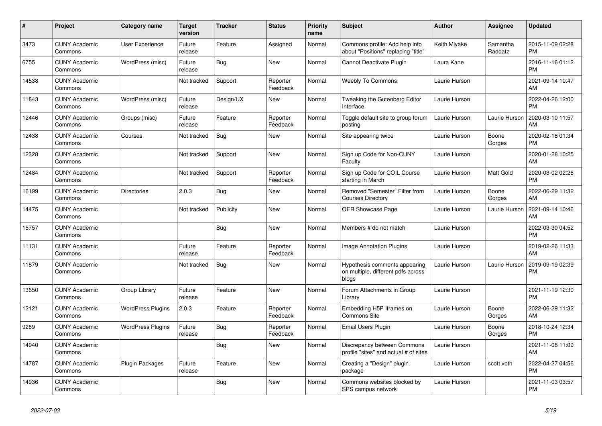| $\pmb{\#}$ | Project                         | <b>Category name</b>     | <b>Target</b><br>version | <b>Tracker</b> | <b>Status</b>        | Priority<br>name | <b>Subject</b>                                                               | <b>Author</b> | Assignee            | <b>Updated</b>                |
|------------|---------------------------------|--------------------------|--------------------------|----------------|----------------------|------------------|------------------------------------------------------------------------------|---------------|---------------------|-------------------------------|
| 3473       | <b>CUNY Academic</b><br>Commons | <b>User Experience</b>   | Future<br>release        | Feature        | Assigned             | Normal           | Commons profile: Add help info<br>about "Positions" replacing "title"        | Keith Miyake  | Samantha<br>Raddatz | 2015-11-09 02:28<br><b>PM</b> |
| 6755       | <b>CUNY Academic</b><br>Commons | WordPress (misc)         | Future<br>release        | Bug            | New                  | Normal           | Cannot Deactivate Plugin                                                     | Laura Kane    |                     | 2016-11-16 01:12<br><b>PM</b> |
| 14538      | <b>CUNY Academic</b><br>Commons |                          | Not tracked              | Support        | Reporter<br>Feedback | Normal           | <b>Weebly To Commons</b>                                                     | Laurie Hurson |                     | 2021-09-14 10:47<br>AM        |
| 11843      | <b>CUNY Academic</b><br>Commons | WordPress (misc)         | Future<br>release        | Design/UX      | <b>New</b>           | Normal           | Tweaking the Gutenberg Editor<br>Interface                                   | Laurie Hurson |                     | 2022-04-26 12:00<br><b>PM</b> |
| 12446      | <b>CUNY Academic</b><br>Commons | Groups (misc)            | Future<br>release        | Feature        | Reporter<br>Feedback | Normal           | Toggle default site to group forum<br>posting                                | Laurie Hurson | Laurie Hurson       | 2020-03-10 11:57<br>AM        |
| 12438      | <b>CUNY Academic</b><br>Commons | Courses                  | Not tracked              | Bug            | New                  | Normal           | Site appearing twice                                                         | Laurie Hurson | Boone<br>Gorges     | 2020-02-18 01:34<br><b>PM</b> |
| 12328      | <b>CUNY Academic</b><br>Commons |                          | Not tracked              | Support        | <b>New</b>           | Normal           | Sign up Code for Non-CUNY<br>Faculty                                         | Laurie Hurson |                     | 2020-01-28 10:25<br>AM        |
| 12484      | <b>CUNY Academic</b><br>Commons |                          | Not tracked              | Support        | Reporter<br>Feedback | Normal           | Sign up Code for COIL Course<br>starting in March                            | Laurie Hurson | Matt Gold           | 2020-03-02 02:26<br><b>PM</b> |
| 16199      | <b>CUNY Academic</b><br>Commons | <b>Directories</b>       | 2.0.3                    | Bug            | New                  | Normal           | Removed "Semester" Filter from<br><b>Courses Directory</b>                   | Laurie Hurson | Boone<br>Gorges     | 2022-06-29 11:32<br>AM        |
| 14475      | <b>CUNY Academic</b><br>Commons |                          | Not tracked              | Publicity      | <b>New</b>           | Normal           | <b>OER Showcase Page</b>                                                     | Laurie Hurson | Laurie Hurson       | 2021-09-14 10:46<br>AM        |
| 15757      | <b>CUNY Academic</b><br>Commons |                          |                          | Bug            | <b>New</b>           | Normal           | Members # do not match                                                       | Laurie Hurson |                     | 2022-03-30 04:52<br><b>PM</b> |
| 11131      | <b>CUNY Academic</b><br>Commons |                          | Future<br>release        | Feature        | Reporter<br>Feedback | Normal           | Image Annotation Plugins                                                     | Laurie Hurson |                     | 2019-02-26 11:33<br>AM        |
| 11879      | <b>CUNY Academic</b><br>Commons |                          | Not tracked              | Bug            | <b>New</b>           | Normal           | Hypothesis comments appearing<br>on multiple, different pdfs across<br>blogs | Laurie Hurson | Laurie Hurson       | 2019-09-19 02:39<br><b>PM</b> |
| 13650      | <b>CUNY Academic</b><br>Commons | Group Library            | Future<br>release        | Feature        | New                  | Normal           | Forum Attachments in Group<br>Library                                        | Laurie Hurson |                     | 2021-11-19 12:30<br><b>PM</b> |
| 12121      | <b>CUNY Academic</b><br>Commons | <b>WordPress Plugins</b> | 2.0.3                    | Feature        | Reporter<br>Feedback | Normal           | Embedding H5P Iframes on<br><b>Commons Site</b>                              | Laurie Hurson | Boone<br>Gorges     | 2022-06-29 11:32<br>AM        |
| 9289       | <b>CUNY Academic</b><br>Commons | <b>WordPress Plugins</b> | Future<br>release        | <b>Bug</b>     | Reporter<br>Feedback | Normal           | Email Users Plugin                                                           | Laurie Hurson | Boone<br>Gorges     | 2018-10-24 12:34<br><b>PM</b> |
| 14940      | <b>CUNY Academic</b><br>Commons |                          |                          | Bug            | New                  | Normal           | Discrepancy between Commons<br>profile "sites" and actual # of sites         | Laurie Hurson |                     | 2021-11-08 11:09<br>AM        |
| 14787      | <b>CUNY Academic</b><br>Commons | Plugin Packages          | Future<br>release        | Feature        | <b>New</b>           | Normal           | Creating a "Design" plugin<br>package                                        | Laurie Hurson | scott voth          | 2022-04-27 04:56<br><b>PM</b> |
| 14936      | <b>CUNY Academic</b><br>Commons |                          |                          | Bug            | <b>New</b>           | Normal           | Commons websites blocked by<br>SPS campus network                            | Laurie Hurson |                     | 2021-11-03 03:57<br><b>PM</b> |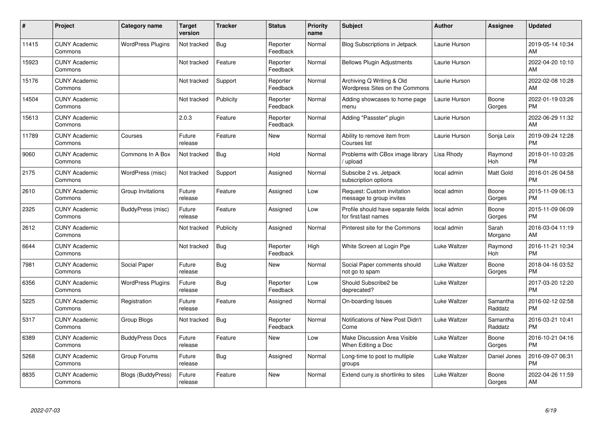| #     | Project                         | <b>Category name</b>     | <b>Target</b><br>version | <b>Tracker</b> | <b>Status</b>        | Priority<br>name | <b>Subject</b>                                              | <b>Author</b> | <b>Assignee</b>     | <b>Updated</b>                |
|-------|---------------------------------|--------------------------|--------------------------|----------------|----------------------|------------------|-------------------------------------------------------------|---------------|---------------------|-------------------------------|
| 11415 | <b>CUNY Academic</b><br>Commons | <b>WordPress Plugins</b> | Not tracked              | <b>Bug</b>     | Reporter<br>Feedback | Normal           | <b>Blog Subscriptions in Jetpack</b>                        | Laurie Hurson |                     | 2019-05-14 10:34<br>AM        |
| 15923 | <b>CUNY Academic</b><br>Commons |                          | Not tracked              | Feature        | Reporter<br>Feedback | Normal           | <b>Bellows Plugin Adjustments</b>                           | Laurie Hurson |                     | 2022-04-20 10:10<br>AM        |
| 15176 | <b>CUNY Academic</b><br>Commons |                          | Not tracked              | Support        | Reporter<br>Feedback | Normal           | Archiving Q Writing & Old<br>Wordpress Sites on the Commons | Laurie Hurson |                     | 2022-02-08 10:28<br>AM        |
| 14504 | <b>CUNY Academic</b><br>Commons |                          | Not tracked              | Publicity      | Reporter<br>Feedback | Normal           | Adding showcases to home page<br>menu                       | Laurie Hurson | Boone<br>Gorges     | 2022-01-19 03:26<br><b>PM</b> |
| 15613 | <b>CUNY Academic</b><br>Commons |                          | 2.0.3                    | Feature        | Reporter<br>Feedback | Normal           | Adding "Passster" plugin                                    | Laurie Hurson |                     | 2022-06-29 11:32<br>AM        |
| 11789 | <b>CUNY Academic</b><br>Commons | Courses                  | Future<br>release        | Feature        | <b>New</b>           | Normal           | Ability to remove item from<br>Courses list                 | Laurie Hurson | Sonja Leix          | 2019-09-24 12:28<br><b>PM</b> |
| 9060  | <b>CUNY Academic</b><br>Commons | Commons In A Box         | Not tracked              | Bug            | Hold                 | Normal           | Problems with CBox image library<br>/ upload                | Lisa Rhody    | Raymond<br>Hoh      | 2018-01-10 03:26<br><b>PM</b> |
| 2175  | <b>CUNY Academic</b><br>Commons | WordPress (misc)         | Not tracked              | Support        | Assigned             | Normal           | Subscibe 2 vs. Jetpack<br>subscription options              | local admin   | Matt Gold           | 2016-01-26 04:58<br><b>PM</b> |
| 2610  | <b>CUNY Academic</b><br>Commons | Group Invitations        | Future<br>release        | Feature        | Assigned             | Low              | Request: Custom invitation<br>message to group invites      | local admin   | Boone<br>Gorges     | 2015-11-09 06:13<br><b>PM</b> |
| 2325  | <b>CUNY Academic</b><br>Commons | BuddyPress (misc)        | Future<br>release        | Feature        | Assigned             | Low              | Profile should have separate fields<br>for first/last names | local admin   | Boone<br>Gorges     | 2015-11-09 06:09<br><b>PM</b> |
| 2612  | <b>CUNY Academic</b><br>Commons |                          | Not tracked              | Publicity      | Assigned             | Normal           | Pinterest site for the Commons                              | local admin   | Sarah<br>Morgano    | 2016-03-04 11:19<br>AM        |
| 6644  | <b>CUNY Academic</b><br>Commons |                          | Not tracked              | <b>Bug</b>     | Reporter<br>Feedback | High             | White Screen at Login Pge                                   | Luke Waltzer  | Raymond<br>Hoh      | 2016-11-21 10:34<br><b>PM</b> |
| 7981  | <b>CUNY Academic</b><br>Commons | Social Paper             | Future<br>release        | Bug            | New                  | Normal           | Social Paper comments should<br>not go to spam              | Luke Waltzer  | Boone<br>Gorges     | 2018-04-16 03:52<br><b>PM</b> |
| 6356  | <b>CUNY Academic</b><br>Commons | <b>WordPress Plugins</b> | Future<br>release        | Bug            | Reporter<br>Feedback | Low              | Should Subscribe2 be<br>deprecated?                         | Luke Waltzer  |                     | 2017-03-20 12:20<br><b>PM</b> |
| 5225  | <b>CUNY Academic</b><br>Commons | Registration             | Future<br>release        | Feature        | Assigned             | Normal           | On-boarding Issues                                          | Luke Waltzer  | Samantha<br>Raddatz | 2016-02-12 02:58<br><b>PM</b> |
| 5317  | <b>CUNY Academic</b><br>Commons | Group Blogs              | Not tracked              | Bug            | Reporter<br>Feedback | Normal           | Notifications of New Post Didn't<br>Come                    | Luke Waltzer  | Samantha<br>Raddatz | 2016-03-21 10:41<br><b>PM</b> |
| 6389  | <b>CUNY Academic</b><br>Commons | <b>BuddyPress Docs</b>   | Future<br>release        | Feature        | New                  | Low              | <b>Make Discussion Area Visible</b><br>When Editing a Doc   | Luke Waltzer  | Boone<br>Gorges     | 2016-10-21 04:16<br><b>PM</b> |
| 5268  | <b>CUNY Academic</b><br>Commons | Group Forums             | Future<br>release        | <b>Bug</b>     | Assigned             | Normal           | Long-time to post to multiple<br>groups                     | Luke Waltzer  | Daniel Jones        | 2016-09-07 06:31<br><b>PM</b> |
| 8835  | <b>CUNY Academic</b><br>Commons | Blogs (BuddyPress)       | Future<br>release        | Feature        | <b>New</b>           | Normal           | Extend cuny is shortlinks to sites                          | Luke Waltzer  | Boone<br>Gorges     | 2022-04-26 11:59<br>AM        |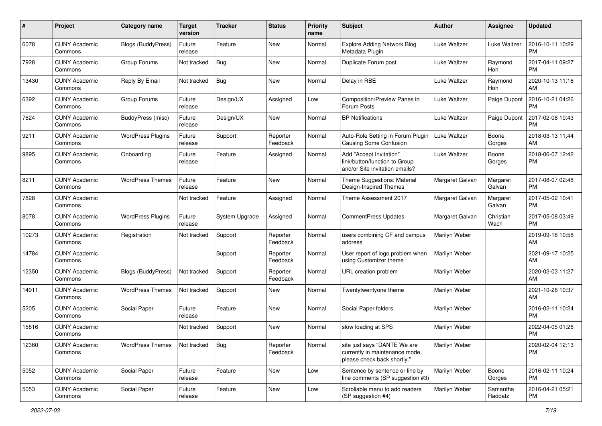| #     | Project                         | <b>Category name</b>     | <b>Target</b><br>version | <b>Tracker</b> | <b>Status</b>        | Priority<br>name | <b>Subject</b>                                                                                | Author          | <b>Assignee</b>     | <b>Updated</b>                |
|-------|---------------------------------|--------------------------|--------------------------|----------------|----------------------|------------------|-----------------------------------------------------------------------------------------------|-----------------|---------------------|-------------------------------|
| 6078  | <b>CUNY Academic</b><br>Commons | Blogs (BuddyPress)       | Future<br>release        | Feature        | <b>New</b>           | Normal           | <b>Explore Adding Network Blog</b><br>Metadata Plugin                                         | Luke Waltzer    | Luke Waltzer        | 2016-10-11 10:29<br><b>PM</b> |
| 7928  | <b>CUNY Academic</b><br>Commons | Group Forums             | Not tracked              | Bug            | New                  | Normal           | Duplicate Forum post                                                                          | Luke Waltzer    | Raymond<br>Hoh      | 2017-04-11 09:27<br><b>PM</b> |
| 13430 | <b>CUNY Academic</b><br>Commons | Reply By Email           | Not tracked              | Bug            | New                  | Normal           | Delay in RBE                                                                                  | Luke Waltzer    | Raymond<br>Hoh      | 2020-10-13 11:16<br>AM        |
| 6392  | <b>CUNY Academic</b><br>Commons | Group Forums             | Future<br>release        | Design/UX      | Assigned             | Low              | Composition/Preview Panes in<br>Forum Posts                                                   | Luke Waltzer    | Paige Dupont        | 2016-10-21 04:26<br><b>PM</b> |
| 7624  | <b>CUNY Academic</b><br>Commons | BuddyPress (misc)        | Future<br>release        | Design/UX      | New                  | Normal           | <b>BP</b> Notifications                                                                       | Luke Waltzer    | Paige Dupont        | 2017-02-08 10:43<br><b>PM</b> |
| 9211  | <b>CUNY Academic</b><br>Commons | <b>WordPress Plugins</b> | Future<br>release        | Support        | Reporter<br>Feedback | Normal           | Auto-Role Setting in Forum Plugin<br><b>Causing Some Confusion</b>                            | Luke Waltzer    | Boone<br>Gorges     | 2018-03-13 11:44<br>AM        |
| 9895  | <b>CUNY Academic</b><br>Commons | Onboarding               | Future<br>release        | Feature        | Assigned             | Normal           | Add "Accept Invitation"<br>link/button/function to Group<br>and/or Site invitation emails?    | Luke Waltzer    | Boone<br>Gorges     | 2018-06-07 12:42<br><b>PM</b> |
| 8211  | <b>CUNY Academic</b><br>Commons | <b>WordPress Themes</b>  | Future<br>release        | Feature        | <b>New</b>           | Normal           | Theme Suggestions: Material<br>Design-Inspired Themes                                         | Margaret Galvan | Margaret<br>Galvan  | 2017-08-07 02:48<br><b>PM</b> |
| 7828  | <b>CUNY Academic</b><br>Commons |                          | Not tracked              | Feature        | Assigned             | Normal           | Theme Assessment 2017                                                                         | Margaret Galvan | Margaret<br>Galvan  | 2017-05-02 10:41<br><b>PM</b> |
| 8078  | <b>CUNY Academic</b><br>Commons | <b>WordPress Plugins</b> | Future<br>release        | System Upgrade | Assigned             | Normal           | <b>CommentPress Updates</b>                                                                   | Margaret Galvan | Christian<br>Wach   | 2017-05-08 03:49<br><b>PM</b> |
| 10273 | <b>CUNY Academic</b><br>Commons | Registration             | Not tracked              | Support        | Reporter<br>Feedback | Normal           | users combining CF and campus<br>address                                                      | Marilyn Weber   |                     | 2019-09-18 10:58<br>AM        |
| 14784 | <b>CUNY Academic</b><br>Commons |                          |                          | Support        | Reporter<br>Feedback | Normal           | User report of logo problem when<br>using Customizer theme                                    | Marilyn Weber   |                     | 2021-09-17 10:25<br>AM        |
| 12350 | <b>CUNY Academic</b><br>Commons | Blogs (BuddyPress)       | Not tracked              | Support        | Reporter<br>Feedback | Normal           | URL creation problem                                                                          | Marilyn Weber   |                     | 2020-02-03 11:27<br>AM        |
| 14911 | <b>CUNY Academic</b><br>Commons | <b>WordPress Themes</b>  | Not tracked              | Support        | New                  | Normal           | Twentytwentyone theme                                                                         | Marilyn Weber   |                     | 2021-10-28 10:37<br>AM        |
| 5205  | <b>CUNY Academic</b><br>Commons | Social Paper             | Future<br>release        | Feature        | New                  | Normal           | Social Paper folders                                                                          | Marilyn Weber   |                     | 2016-02-11 10:24<br><b>PM</b> |
| 15816 | <b>CUNY Academic</b><br>Commons |                          | Not tracked              | Support        | New                  | Normal           | slow loading at SPS                                                                           | Marilyn Weber   |                     | 2022-04-05 01:26<br><b>PM</b> |
| 12360 | <b>CUNY Academic</b><br>Commons | <b>WordPress Themes</b>  | Not tracked              | Bug            | Reporter<br>Feedback | Normal           | site just says "DANTE We are<br>currently in maintenance mode,<br>please check back shortly." | Marilyn Weber   |                     | 2020-02-04 12:13<br><b>PM</b> |
| 5052  | <b>CUNY Academic</b><br>Commons | Social Paper             | Future<br>release        | Feature        | New                  | Low              | Sentence by sentence or line by<br>line comments (SP suggestion #3)                           | Marilyn Weber   | Boone<br>Gorges     | 2016-02-11 10:24<br><b>PM</b> |
| 5053  | <b>CUNY Academic</b><br>Commons | Social Paper             | Future<br>release        | Feature        | New                  | Low              | Scrollable menu to add readers<br>(SP suggestion #4)                                          | Marilyn Weber   | Samantha<br>Raddatz | 2016-04-21 05:21<br>PM        |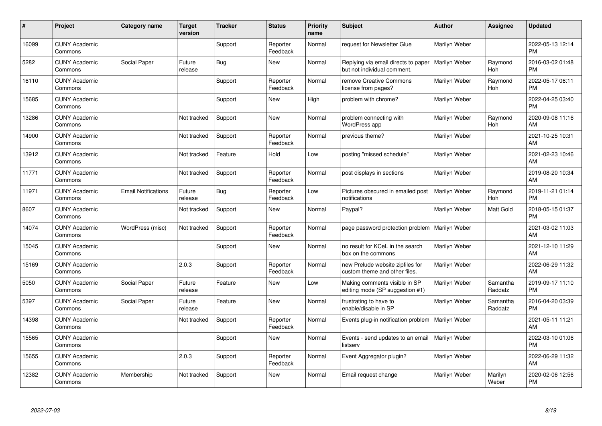| #     | Project                         | Category name              | <b>Target</b><br>version | <b>Tracker</b> | <b>Status</b>        | <b>Priority</b><br>name | <b>Subject</b>                                                     | <b>Author</b> | <b>Assignee</b>     | <b>Updated</b>                |
|-------|---------------------------------|----------------------------|--------------------------|----------------|----------------------|-------------------------|--------------------------------------------------------------------|---------------|---------------------|-------------------------------|
| 16099 | <b>CUNY Academic</b><br>Commons |                            |                          | Support        | Reporter<br>Feedback | Normal                  | request for Newsletter Glue                                        | Marilyn Weber |                     | 2022-05-13 12:14<br><b>PM</b> |
| 5282  | <b>CUNY Academic</b><br>Commons | Social Paper               | Future<br>release        | Bug            | <b>New</b>           | Normal                  | Replying via email directs to paper<br>but not individual comment. | Marilyn Weber | Raymond<br>Hoh      | 2016-03-02 01:48<br><b>PM</b> |
| 16110 | <b>CUNY Academic</b><br>Commons |                            |                          | Support        | Reporter<br>Feedback | Normal                  | remove Creative Commons<br>license from pages?                     | Marilyn Weber | Raymond<br>Hoh      | 2022-05-17 06:11<br><b>PM</b> |
| 15685 | <b>CUNY Academic</b><br>Commons |                            |                          | Support        | <b>New</b>           | High                    | problem with chrome?                                               | Marilyn Weber |                     | 2022-04-25 03:40<br><b>PM</b> |
| 13286 | <b>CUNY Academic</b><br>Commons |                            | Not tracked              | Support        | New                  | Normal                  | problem connecting with<br>WordPress app                           | Marilyn Weber | Raymond<br>Hoh      | 2020-09-08 11:16<br>AM        |
| 14900 | <b>CUNY Academic</b><br>Commons |                            | Not tracked              | Support        | Reporter<br>Feedback | Normal                  | previous theme?                                                    | Marilyn Weber |                     | 2021-10-25 10:31<br>AM        |
| 13912 | <b>CUNY Academic</b><br>Commons |                            | Not tracked              | Feature        | Hold                 | Low                     | posting "missed schedule"                                          | Marilyn Weber |                     | 2021-02-23 10:46<br>AM        |
| 11771 | <b>CUNY Academic</b><br>Commons |                            | Not tracked              | Support        | Reporter<br>Feedback | Normal                  | post displays in sections                                          | Marilyn Weber |                     | 2019-08-20 10:34<br>AM        |
| 11971 | <b>CUNY Academic</b><br>Commons | <b>Email Notifications</b> | Future<br>release        | Bug            | Reporter<br>Feedback | Low                     | Pictures obscured in emailed post<br>notifications                 | Marilyn Weber | Raymond<br>Hoh      | 2019-11-21 01:14<br><b>PM</b> |
| 8607  | <b>CUNY Academic</b><br>Commons |                            | Not tracked              | Support        | <b>New</b>           | Normal                  | Paypal?                                                            | Marilyn Weber | Matt Gold           | 2018-05-15 01:37<br><b>PM</b> |
| 14074 | <b>CUNY Academic</b><br>Commons | WordPress (misc)           | Not tracked              | Support        | Reporter<br>Feedback | Normal                  | page password protection problem                                   | Marilyn Weber |                     | 2021-03-02 11:03<br>AM        |
| 15045 | <b>CUNY Academic</b><br>Commons |                            |                          | Support        | <b>New</b>           | Normal                  | no result for KCeL in the search<br>box on the commons             | Marilyn Weber |                     | 2021-12-10 11:29<br>AM        |
| 15169 | <b>CUNY Academic</b><br>Commons |                            | 2.0.3                    | Support        | Reporter<br>Feedback | Normal                  | new Prelude website zipfiles for<br>custom theme and other files.  | Marilyn Weber |                     | 2022-06-29 11:32<br>AM        |
| 5050  | <b>CUNY Academic</b><br>Commons | Social Paper               | Future<br>release        | Feature        | <b>New</b>           | Low                     | Making comments visible in SP<br>editing mode (SP suggestion #1)   | Marilyn Weber | Samantha<br>Raddatz | 2019-09-17 11:10<br><b>PM</b> |
| 5397  | <b>CUNY Academic</b><br>Commons | Social Paper               | Future<br>release        | Feature        | <b>New</b>           | Normal                  | frustrating to have to<br>enable/disable in SP                     | Marilyn Weber | Samantha<br>Raddatz | 2016-04-20 03:39<br><b>PM</b> |
| 14398 | <b>CUNY Academic</b><br>Commons |                            | Not tracked              | Support        | Reporter<br>Feedback | Normal                  | Events plug-in notification problem   Marilyn Weber                |               |                     | 2021-05-11 11:21<br>AM        |
| 15565 | <b>CUNY Academic</b><br>Commons |                            |                          | Support        | New                  | Normal                  | Events - send updates to an email<br>listserv                      | Marilyn Weber |                     | 2022-03-10 01:06<br><b>PM</b> |
| 15655 | <b>CUNY Academic</b><br>Commons |                            | 2.0.3                    | Support        | Reporter<br>Feedback | Normal                  | Event Aggregator plugin?                                           | Marilyn Weber |                     | 2022-06-29 11:32<br>AM        |
| 12382 | <b>CUNY Academic</b><br>Commons | Membership                 | Not tracked              | Support        | <b>New</b>           | Normal                  | Email request change                                               | Marilyn Weber | Marilyn<br>Weber    | 2020-02-06 12:56<br><b>PM</b> |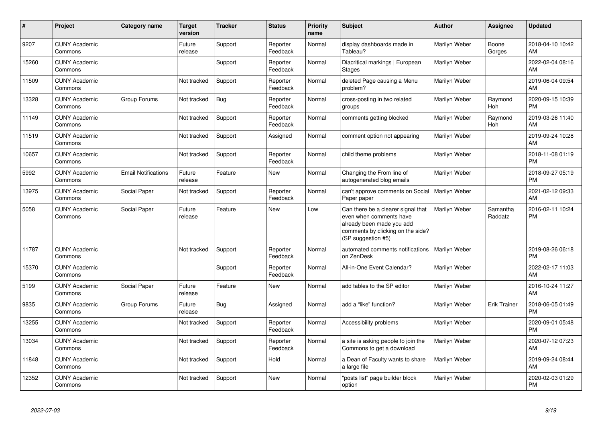| #     | Project                         | Category name              | <b>Target</b><br>version | <b>Tracker</b> | <b>Status</b>        | <b>Priority</b><br>name | <b>Subject</b>                                                                                                                                        | <b>Author</b> | Assignee            | <b>Updated</b>                |
|-------|---------------------------------|----------------------------|--------------------------|----------------|----------------------|-------------------------|-------------------------------------------------------------------------------------------------------------------------------------------------------|---------------|---------------------|-------------------------------|
| 9207  | <b>CUNY Academic</b><br>Commons |                            | Future<br>release        | Support        | Reporter<br>Feedback | Normal                  | display dashboards made in<br>Tableau?                                                                                                                | Marilyn Weber | Boone<br>Gorges     | 2018-04-10 10:42<br>AM        |
| 15260 | <b>CUNY Academic</b><br>Commons |                            |                          | Support        | Reporter<br>Feedback | Normal                  | Diacritical markings   European<br><b>Stages</b>                                                                                                      | Marilyn Weber |                     | 2022-02-04 08:16<br>AM        |
| 11509 | <b>CUNY Academic</b><br>Commons |                            | Not tracked              | Support        | Reporter<br>Feedback | Normal                  | deleted Page causing a Menu<br>problem?                                                                                                               | Marilyn Weber |                     | 2019-06-04 09:54<br>AM        |
| 13328 | <b>CUNY Academic</b><br>Commons | Group Forums               | Not tracked              | Bug            | Reporter<br>Feedback | Normal                  | cross-posting in two related<br>groups                                                                                                                | Marilyn Weber | Raymond<br>Hoh      | 2020-09-15 10:39<br><b>PM</b> |
| 11149 | <b>CUNY Academic</b><br>Commons |                            | Not tracked              | Support        | Reporter<br>Feedback | Normal                  | comments getting blocked                                                                                                                              | Marilyn Weber | Raymond<br>Hoh      | 2019-03-26 11:40<br>AM        |
| 11519 | <b>CUNY Academic</b><br>Commons |                            | Not tracked              | Support        | Assigned             | Normal                  | comment option not appearing                                                                                                                          | Marilyn Weber |                     | 2019-09-24 10:28<br>AM        |
| 10657 | <b>CUNY Academic</b><br>Commons |                            | Not tracked              | Support        | Reporter<br>Feedback | Normal                  | child theme problems                                                                                                                                  | Marilyn Weber |                     | 2018-11-08 01:19<br><b>PM</b> |
| 5992  | <b>CUNY Academic</b><br>Commons | <b>Email Notifications</b> | Future<br>release        | Feature        | <b>New</b>           | Normal                  | Changing the From line of<br>autogenerated blog emails                                                                                                | Marilyn Weber |                     | 2018-09-27 05:19<br><b>PM</b> |
| 13975 | <b>CUNY Academic</b><br>Commons | Social Paper               | Not tracked              | Support        | Reporter<br>Feedback | Normal                  | can't approve comments on Social<br>Paper paper                                                                                                       | Marilyn Weber |                     | 2021-02-12 09:33<br>AM        |
| 5058  | <b>CUNY Academic</b><br>Commons | Social Paper               | Future<br>release        | Feature        | <b>New</b>           | Low                     | Can there be a clearer signal that<br>even when comments have<br>already been made you add<br>comments by clicking on the side?<br>(SP suggestion #5) | Marilyn Weber | Samantha<br>Raddatz | 2016-02-11 10:24<br><b>PM</b> |
| 11787 | <b>CUNY Academic</b><br>Commons |                            | Not tracked              | Support        | Reporter<br>Feedback | Normal                  | automated comments notifications<br>on ZenDesk                                                                                                        | Marilyn Weber |                     | 2019-08-26 06:18<br><b>PM</b> |
| 15370 | <b>CUNY Academic</b><br>Commons |                            |                          | Support        | Reporter<br>Feedback | Normal                  | All-in-One Event Calendar?                                                                                                                            | Marilyn Weber |                     | 2022-02-17 11:03<br>AM        |
| 5199  | <b>CUNY Academic</b><br>Commons | Social Paper               | Future<br>release        | Feature        | <b>New</b>           | Normal                  | add tables to the SP editor                                                                                                                           | Marilyn Weber |                     | 2016-10-24 11:27<br>AM        |
| 9835  | <b>CUNY Academic</b><br>Commons | Group Forums               | Future<br>release        | Bug            | Assigned             | Normal                  | add a "like" function?                                                                                                                                | Marilyn Weber | <b>Erik Trainer</b> | 2018-06-05 01:49<br><b>PM</b> |
| 13255 | <b>CUNY Academic</b><br>Commons |                            | Not tracked              | Support        | Reporter<br>Feedback | Normal                  | Accessibility problems                                                                                                                                | Marilyn Weber |                     | 2020-09-01 05:48<br><b>PM</b> |
| 13034 | <b>CUNY Academic</b><br>Commons |                            | Not tracked              | Support        | Reporter<br>Feedback | Normal                  | a site is asking people to join the<br>Commons to get a download                                                                                      | Marilyn Weber |                     | 2020-07-12 07:23<br>AM        |
| 11848 | <b>CUNY Academic</b><br>Commons |                            | Not tracked              | Support        | Hold                 | Normal                  | a Dean of Faculty wants to share<br>a large file                                                                                                      | Marilyn Weber |                     | 2019-09-24 08:44<br>AM        |
| 12352 | <b>CUNY Academic</b><br>Commons |                            | Not tracked              | Support        | <b>New</b>           | Normal                  | "posts list" page builder block<br>option                                                                                                             | Marilyn Weber |                     | 2020-02-03 01:29<br><b>PM</b> |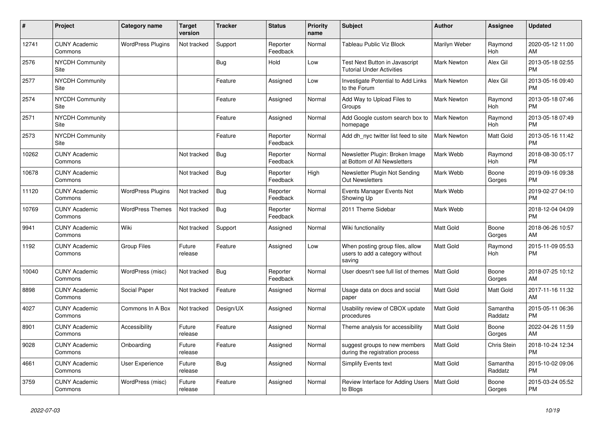| #     | <b>Project</b>                  | Category name            | <b>Target</b><br>version | <b>Tracker</b> | <b>Status</b>        | <b>Priority</b><br>name | <b>Subject</b>                                                               | <b>Author</b>      | Assignee            | <b>Updated</b>                |
|-------|---------------------------------|--------------------------|--------------------------|----------------|----------------------|-------------------------|------------------------------------------------------------------------------|--------------------|---------------------|-------------------------------|
| 12741 | <b>CUNY Academic</b><br>Commons | <b>WordPress Plugins</b> | Not tracked              | Support        | Reporter<br>Feedback | Normal                  | Tableau Public Viz Block                                                     | Marilyn Weber      | Raymond<br>Hoh      | 2020-05-12 11:00<br>AM        |
| 2576  | <b>NYCDH Community</b><br>Site  |                          |                          | Bug            | Hold                 | Low                     | Test Next Button in Javascript<br><b>Tutorial Under Activities</b>           | <b>Mark Newton</b> | Alex Gil            | 2013-05-18 02:55<br><b>PM</b> |
| 2577  | NYCDH Community<br>Site         |                          |                          | Feature        | Assigned             | Low                     | Investigate Potential to Add Links<br>to the Forum                           | Mark Newton        | Alex Gil            | 2013-05-16 09:40<br><b>PM</b> |
| 2574  | <b>NYCDH Community</b><br>Site  |                          |                          | Feature        | Assigned             | Normal                  | Add Way to Upload Files to<br>Groups                                         | <b>Mark Newton</b> | Raymond<br>Hoh      | 2013-05-18 07:46<br><b>PM</b> |
| 2571  | <b>NYCDH Community</b><br>Site  |                          |                          | Feature        | Assigned             | Normal                  | Add Google custom search box to<br>homepage                                  | <b>Mark Newton</b> | Raymond<br>Hoh      | 2013-05-18 07:49<br><b>PM</b> |
| 2573  | <b>NYCDH Community</b><br>Site  |                          |                          | Feature        | Reporter<br>Feedback | Normal                  | Add dh nyc twitter list feed to site                                         | Mark Newton        | Matt Gold           | 2013-05-16 11:42<br><b>PM</b> |
| 10262 | <b>CUNY Academic</b><br>Commons |                          | Not tracked              | Bug            | Reporter<br>Feedback | Normal                  | Newsletter Plugin: Broken Image<br>at Bottom of All Newsletters              | Mark Webb          | Raymond<br>Hoh      | 2018-08-30 05:17<br><b>PM</b> |
| 10678 | <b>CUNY Academic</b><br>Commons |                          | Not tracked              | <b>Bug</b>     | Reporter<br>Feedback | High                    | Newsletter Plugin Not Sending<br><b>Out Newsletters</b>                      | Mark Webb          | Boone<br>Gorges     | 2019-09-16 09:38<br><b>PM</b> |
| 11120 | <b>CUNY Academic</b><br>Commons | <b>WordPress Plugins</b> | Not tracked              | Bug            | Reporter<br>Feedback | Normal                  | Events Manager Events Not<br>Showing Up                                      | Mark Webb          |                     | 2019-02-27 04:10<br><b>PM</b> |
| 10769 | <b>CUNY Academic</b><br>Commons | <b>WordPress Themes</b>  | Not tracked              | Bug            | Reporter<br>Feedback | Normal                  | 2011 Theme Sidebar                                                           | Mark Webb          |                     | 2018-12-04 04:09<br><b>PM</b> |
| 9941  | <b>CUNY Academic</b><br>Commons | Wiki                     | Not tracked              | Support        | Assigned             | Normal                  | Wiki functionality                                                           | <b>Matt Gold</b>   | Boone<br>Gorges     | 2018-06-26 10:57<br>AM        |
| 1192  | <b>CUNY Academic</b><br>Commons | Group Files              | Future<br>release        | Feature        | Assigned             | Low                     | When posting group files, allow<br>users to add a category without<br>saving | <b>Matt Gold</b>   | Raymond<br>Hoh      | 2015-11-09 05:53<br><b>PM</b> |
| 10040 | <b>CUNY Academic</b><br>Commons | WordPress (misc)         | Not tracked              | Bug            | Reporter<br>Feedback | Normal                  | User doesn't see full list of themes                                         | <b>Matt Gold</b>   | Boone<br>Gorges     | 2018-07-25 10:12<br>AM        |
| 8898  | <b>CUNY Academic</b><br>Commons | Social Paper             | Not tracked              | Feature        | Assigned             | Normal                  | Usage data on docs and social<br>paper                                       | <b>Matt Gold</b>   | Matt Gold           | 2017-11-16 11:32<br>AM        |
| 4027  | <b>CUNY Academic</b><br>Commons | Commons In A Box         | Not tracked              | Design/UX      | Assigned             | Normal                  | Usability review of CBOX update<br>procedures                                | <b>Matt Gold</b>   | Samantha<br>Raddatz | 2015-05-11 06:36<br><b>PM</b> |
| 8901  | <b>CUNY Academic</b><br>Commons | Accessibility            | Future<br>release        | Feature        | Assigned             | Normal                  | Theme analysis for accessibility                                             | <b>Matt Gold</b>   | Boone<br>Gorges     | 2022-04-26 11:59<br>AM        |
| 9028  | <b>CUNY Academic</b><br>Commons | Onboarding               | Future<br>release        | Feature        | Assigned             | Normal                  | suggest groups to new members<br>during the registration process             | <b>Matt Gold</b>   | Chris Stein         | 2018-10-24 12:34<br><b>PM</b> |
| 4661  | <b>CUNY Academic</b><br>Commons | User Experience          | Future<br>release        | Bug            | Assigned             | Normal                  | <b>Simplify Events text</b>                                                  | <b>Matt Gold</b>   | Samantha<br>Raddatz | 2015-10-02 09:06<br><b>PM</b> |
| 3759  | <b>CUNY Academic</b><br>Commons | WordPress (misc)         | Future<br>release        | Feature        | Assigned             | Normal                  | Review Interface for Adding Users<br>to Blogs                                | Matt Gold          | Boone<br>Gorges     | 2015-03-24 05:52<br><b>PM</b> |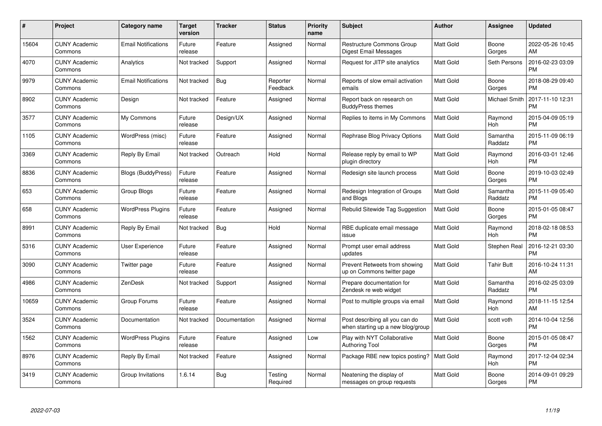| $\#$  | Project                         | <b>Category name</b>       | Target<br>version | <b>Tracker</b> | <b>Status</b>        | Priority<br>name | <b>Subject</b>                                                      | <b>Author</b>    | <b>Assignee</b>      | <b>Updated</b>                |
|-------|---------------------------------|----------------------------|-------------------|----------------|----------------------|------------------|---------------------------------------------------------------------|------------------|----------------------|-------------------------------|
| 15604 | <b>CUNY Academic</b><br>Commons | <b>Email Notifications</b> | Future<br>release | Feature        | Assigned             | Normal           | <b>Restructure Commons Group</b><br>Digest Email Messages           | <b>Matt Gold</b> | Boone<br>Gorges      | 2022-05-26 10:45<br>AM        |
| 4070  | <b>CUNY Academic</b><br>Commons | Analytics                  | Not tracked       | Support        | Assigned             | Normal           | Request for JITP site analytics                                     | <b>Matt Gold</b> | Seth Persons         | 2016-02-23 03:09<br><b>PM</b> |
| 9979  | <b>CUNY Academic</b><br>Commons | <b>Email Notifications</b> | Not tracked       | Bug            | Reporter<br>Feedback | Normal           | Reports of slow email activation<br>emails                          | <b>Matt Gold</b> | Boone<br>Gorges      | 2018-08-29 09:40<br><b>PM</b> |
| 8902  | <b>CUNY Academic</b><br>Commons | Design                     | Not tracked       | Feature        | Assigned             | Normal           | Report back on research on<br><b>BuddyPress themes</b>              | Matt Gold        | <b>Michael Smith</b> | 2017-11-10 12:31<br><b>PM</b> |
| 3577  | <b>CUNY Academic</b><br>Commons | My Commons                 | Future<br>release | Design/UX      | Assigned             | Normal           | Replies to items in My Commons                                      | <b>Matt Gold</b> | Raymond<br>Hoh       | 2015-04-09 05:19<br><b>PM</b> |
| 1105  | <b>CUNY Academic</b><br>Commons | WordPress (misc)           | Future<br>release | Feature        | Assigned             | Normal           | Rephrase Blog Privacy Options                                       | <b>Matt Gold</b> | Samantha<br>Raddatz  | 2015-11-09 06:19<br><b>PM</b> |
| 3369  | <b>CUNY Academic</b><br>Commons | Reply By Email             | Not tracked       | Outreach       | Hold                 | Normal           | Release reply by email to WP<br>plugin directory                    | Matt Gold        | Raymond<br>Hoh       | 2016-03-01 12:46<br><b>PM</b> |
| 8836  | <b>CUNY Academic</b><br>Commons | <b>Blogs (BuddyPress)</b>  | Future<br>release | Feature        | Assigned             | Normal           | Redesign site launch process                                        | <b>Matt Gold</b> | Boone<br>Gorges      | 2019-10-03 02:49<br><b>PM</b> |
| 653   | <b>CUNY Academic</b><br>Commons | Group Blogs                | Future<br>release | Feature        | Assigned             | Normal           | Redesign Integration of Groups<br>and Blogs                         | <b>Matt Gold</b> | Samantha<br>Raddatz  | 2015-11-09 05:40<br><b>PM</b> |
| 658   | <b>CUNY Academic</b><br>Commons | <b>WordPress Plugins</b>   | Future<br>release | Feature        | Assigned             | Normal           | Rebulid Sitewide Tag Suggestion                                     | <b>Matt Gold</b> | Boone<br>Gorges      | 2015-01-05 08:47<br><b>PM</b> |
| 8991  | <b>CUNY Academic</b><br>Commons | Reply By Email             | Not tracked       | Bug            | Hold                 | Normal           | RBE duplicate email message<br>issue                                | Matt Gold        | Raymond<br>Hoh       | 2018-02-18 08:53<br><b>PM</b> |
| 5316  | <b>CUNY Academic</b><br>Commons | <b>User Experience</b>     | Future<br>release | Feature        | Assigned             | Normal           | Prompt user email address<br>updates                                | Matt Gold        | Stephen Real         | 2016-12-21 03:30<br><b>PM</b> |
| 3090  | <b>CUNY Academic</b><br>Commons | Twitter page               | Future<br>release | Feature        | Assigned             | Normal           | Prevent Retweets from showing<br>up on Commons twitter page         | <b>Matt Gold</b> | <b>Tahir Butt</b>    | 2016-10-24 11:31<br>AM        |
| 4986  | <b>CUNY Academic</b><br>Commons | ZenDesk                    | Not tracked       | Support        | Assigned             | Normal           | Prepare documentation for<br>Zendesk re web widget                  | <b>Matt Gold</b> | Samantha<br>Raddatz  | 2016-02-25 03:09<br><b>PM</b> |
| 10659 | <b>CUNY Academic</b><br>Commons | Group Forums               | Future<br>release | Feature        | Assigned             | Normal           | Post to multiple groups via email                                   | Matt Gold        | Raymond<br>Hoh       | 2018-11-15 12:54<br>AM        |
| 3524  | <b>CUNY Academic</b><br>Commons | Documentation              | Not tracked       | Documentation  | Assigned             | Normal           | Post describing all you can do<br>when starting up a new blog/group | Matt Gold        | scott voth           | 2014-10-04 12:56<br><b>PM</b> |
| 1562  | <b>CUNY Academic</b><br>Commons | <b>WordPress Plugins</b>   | Future<br>release | Feature        | Assigned             | Low              | Play with NYT Collaborative<br><b>Authoring Tool</b>                | <b>Matt Gold</b> | Boone<br>Gorges      | 2015-01-05 08:47<br><b>PM</b> |
| 8976  | <b>CUNY Academic</b><br>Commons | Reply By Email             | Not tracked       | Feature        | Assigned             | Normal           | Package RBE new topics posting?                                     | <b>Matt Gold</b> | Raymond<br>Hoh       | 2017-12-04 02:34<br><b>PM</b> |
| 3419  | <b>CUNY Academic</b><br>Commons | Group Invitations          | 1.6.14            | Bug            | Testing<br>Required  | Normal           | Neatening the display of<br>messages on group requests              | <b>Matt Gold</b> | Boone<br>Gorges      | 2014-09-01 09:29<br><b>PM</b> |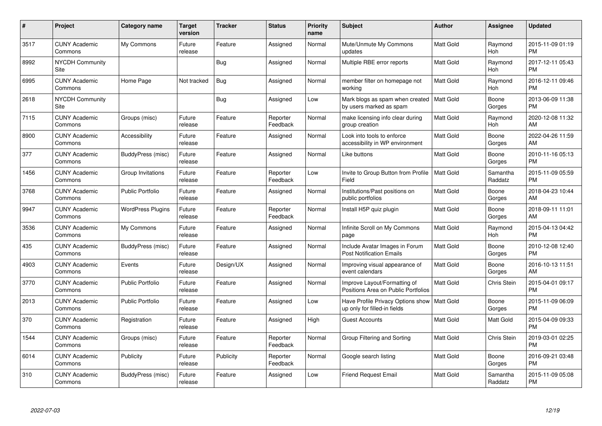| #    | Project                               | <b>Category name</b>     | <b>Target</b><br>version | <b>Tracker</b> | <b>Status</b>        | Priority<br>name | <b>Subject</b>                                                      | <b>Author</b>    | <b>Assignee</b>     | <b>Updated</b>                |
|------|---------------------------------------|--------------------------|--------------------------|----------------|----------------------|------------------|---------------------------------------------------------------------|------------------|---------------------|-------------------------------|
| 3517 | <b>CUNY Academic</b><br>Commons       | My Commons               | Future<br>release        | Feature        | Assigned             | Normal           | Mute/Unmute My Commons<br>updates                                   | <b>Matt Gold</b> | Raymond<br>Hoh      | 2015-11-09 01:19<br><b>PM</b> |
| 8992 | <b>NYCDH Community</b><br>Site        |                          |                          | Bug            | Assigned             | Normal           | Multiple RBE error reports                                          | <b>Matt Gold</b> | Raymond<br>Hoh      | 2017-12-11 05:43<br><b>PM</b> |
| 6995 | <b>CUNY Academic</b><br>Commons       | Home Page                | Not tracked              | Bug            | Assigned             | Normal           | member filter on homepage not<br>working                            | Matt Gold        | Raymond<br>Hoh      | 2016-12-11 09:46<br><b>PM</b> |
| 2618 | <b>NYCDH Community</b><br><b>Site</b> |                          |                          | Bug            | Assigned             | Low              | Mark blogs as spam when created<br>by users marked as spam          | <b>Matt Gold</b> | Boone<br>Gorges     | 2013-06-09 11:38<br><b>PM</b> |
| 7115 | <b>CUNY Academic</b><br>Commons       | Groups (misc)            | Future<br>release        | Feature        | Reporter<br>Feedback | Normal           | make licensing info clear during<br>group creation                  | Matt Gold        | Raymond<br>Hoh      | 2020-12-08 11:32<br>AM        |
| 8900 | <b>CUNY Academic</b><br>Commons       | Accessibility            | Future<br>release        | Feature        | Assigned             | Normal           | Look into tools to enforce<br>accessibility in WP environment       | <b>Matt Gold</b> | Boone<br>Gorges     | 2022-04-26 11:59<br>AM        |
| 377  | <b>CUNY Academic</b><br>Commons       | BuddyPress (misc)        | Future<br>release        | Feature        | Assigned             | Normal           | Like buttons                                                        | Matt Gold        | Boone<br>Gorges     | 2010-11-16 05:13<br><b>PM</b> |
| 1456 | <b>CUNY Academic</b><br>Commons       | Group Invitations        | Future<br>release        | Feature        | Reporter<br>Feedback | Low              | Invite to Group Button from Profile<br>Field                        | <b>Matt Gold</b> | Samantha<br>Raddatz | 2015-11-09 05:59<br><b>PM</b> |
| 3768 | <b>CUNY Academic</b><br>Commons       | Public Portfolio         | Future<br>release        | Feature        | Assigned             | Normal           | Institutions/Past positions on<br>public portfolios                 | Matt Gold        | Boone<br>Gorges     | 2018-04-23 10:44<br>AM        |
| 9947 | <b>CUNY Academic</b><br>Commons       | <b>WordPress Plugins</b> | Future<br>release        | Feature        | Reporter<br>Feedback | Normal           | Install H5P quiz plugin                                             | <b>Matt Gold</b> | Boone<br>Gorges     | 2018-09-11 11:01<br>AM        |
| 3536 | <b>CUNY Academic</b><br>Commons       | My Commons               | Future<br>release        | Feature        | Assigned             | Normal           | Infinite Scroll on My Commons<br>page                               | Matt Gold        | Raymond<br>Hoh      | 2015-04-13 04:42<br><b>PM</b> |
| 435  | <b>CUNY Academic</b><br>Commons       | BuddyPress (misc)        | Future<br>release        | Feature        | Assigned             | Normal           | Include Avatar Images in Forum<br><b>Post Notification Emails</b>   | Matt Gold        | Boone<br>Gorges     | 2010-12-08 12:40<br><b>PM</b> |
| 4903 | <b>CUNY Academic</b><br>Commons       | Events                   | Future<br>release        | Design/UX      | Assigned             | Normal           | Improving visual appearance of<br>event calendars                   | <b>Matt Gold</b> | Boone<br>Gorges     | 2016-10-13 11:51<br>AM        |
| 3770 | <b>CUNY Academic</b><br>Commons       | <b>Public Portfolio</b>  | Future<br>release        | Feature        | Assigned             | Normal           | Improve Layout/Formatting of<br>Positions Area on Public Portfolios | Matt Gold        | Chris Stein         | 2015-04-01 09:17<br><b>PM</b> |
| 2013 | <b>CUNY Academic</b><br>Commons       | <b>Public Portfolio</b>  | Future<br>release        | Feature        | Assigned             | Low              | Have Profile Privacy Options show<br>up only for filled-in fields   | Matt Gold        | Boone<br>Gorges     | 2015-11-09 06:09<br><b>PM</b> |
| 370  | <b>CUNY Academic</b><br>Commons       | Registration             | Future<br>release        | Feature        | Assigned             | High             | <b>Guest Accounts</b>                                               | <b>Matt Gold</b> | Matt Gold           | 2015-04-09 09:33<br><b>PM</b> |
| 1544 | <b>CUNY Academic</b><br>Commons       | Groups (misc)            | Future<br>release        | Feature        | Reporter<br>Feedback | Normal           | Group Filtering and Sorting                                         | <b>Matt Gold</b> | <b>Chris Stein</b>  | 2019-03-01 02:25<br><b>PM</b> |
| 6014 | <b>CUNY Academic</b><br>Commons       | Publicity                | Future<br>release        | Publicity      | Reporter<br>Feedback | Normal           | Google search listing                                               | Matt Gold        | Boone<br>Gorges     | 2016-09-21 03:48<br><b>PM</b> |
| 310  | CUNY Academic<br>Commons              | BuddyPress (misc)        | Future<br>release        | Feature        | Assigned             | Low              | <b>Friend Request Email</b>                                         | <b>Matt Gold</b> | Samantha<br>Raddatz | 2015-11-09 05:08<br><b>PM</b> |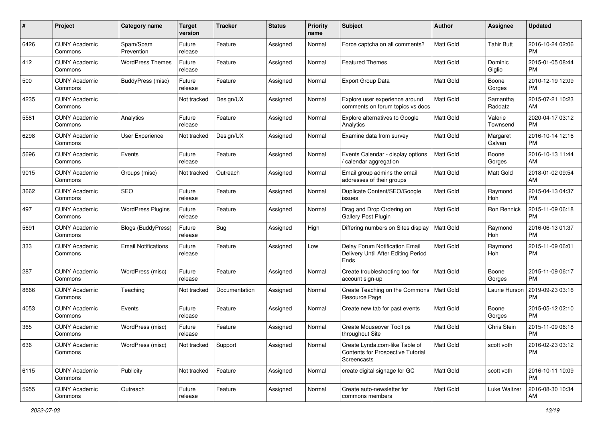| #    | Project                         | <b>Category name</b>       | <b>Target</b><br>version | <b>Tracker</b> | <b>Status</b> | Priority<br>name | <b>Subject</b>                                                                     | Author           | <b>Assignee</b>     | <b>Updated</b>                |
|------|---------------------------------|----------------------------|--------------------------|----------------|---------------|------------------|------------------------------------------------------------------------------------|------------------|---------------------|-------------------------------|
| 6426 | <b>CUNY Academic</b><br>Commons | Spam/Spam<br>Prevention    | Future<br>release        | Feature        | Assigned      | Normal           | Force captcha on all comments?                                                     | <b>Matt Gold</b> | <b>Tahir Butt</b>   | 2016-10-24 02:06<br><b>PM</b> |
| 412  | <b>CUNY Academic</b><br>Commons | <b>WordPress Themes</b>    | Future<br>release        | Feature        | Assigned      | Normal           | <b>Featured Themes</b>                                                             | <b>Matt Gold</b> | Dominic<br>Giglio   | 2015-01-05 08:44<br><b>PM</b> |
| 500  | <b>CUNY Academic</b><br>Commons | BuddyPress (misc)          | Future<br>release        | Feature        | Assigned      | Normal           | Export Group Data                                                                  | Matt Gold        | Boone<br>Gorges     | 2010-12-19 12:09<br><b>PM</b> |
| 4235 | <b>CUNY Academic</b><br>Commons |                            | Not tracked              | Design/UX      | Assigned      | Normal           | Explore user experience around<br>comments on forum topics vs docs                 | <b>Matt Gold</b> | Samantha<br>Raddatz | 2015-07-21 10:23<br>AM        |
| 5581 | <b>CUNY Academic</b><br>Commons | Analytics                  | Future<br>release        | Feature        | Assigned      | Normal           | <b>Explore alternatives to Google</b><br>Analytics                                 | <b>Matt Gold</b> | Valerie<br>Townsend | 2020-04-17 03:12<br><b>PM</b> |
| 6298 | <b>CUNY Academic</b><br>Commons | User Experience            | Not tracked              | Design/UX      | Assigned      | Normal           | Examine data from survey                                                           | <b>Matt Gold</b> | Margaret<br>Galvan  | 2016-10-14 12:16<br><b>PM</b> |
| 5696 | <b>CUNY Academic</b><br>Commons | Events                     | Future<br>release        | Feature        | Assigned      | Normal           | Events Calendar - display options<br>/ calendar aggregation                        | Matt Gold        | Boone<br>Gorges     | 2016-10-13 11:44<br>AM        |
| 9015 | <b>CUNY Academic</b><br>Commons | Groups (misc)              | Not tracked              | Outreach       | Assigned      | Normal           | Email group admins the email<br>addresses of their groups                          | <b>Matt Gold</b> | Matt Gold           | 2018-01-02 09:54<br>AM        |
| 3662 | <b>CUNY Academic</b><br>Commons | <b>SEO</b>                 | Future<br>release        | Feature        | Assigned      | Normal           | Duplicate Content/SEO/Google<br>issues                                             | <b>Matt Gold</b> | Raymond<br>Hoh      | 2015-04-13 04:37<br><b>PM</b> |
| 497  | <b>CUNY Academic</b><br>Commons | <b>WordPress Plugins</b>   | Future<br>release        | Feature        | Assigned      | Normal           | Drag and Drop Ordering on<br><b>Gallery Post Plugin</b>                            | Matt Gold        | Ron Rennick         | 2015-11-09 06:18<br><b>PM</b> |
| 5691 | <b>CUNY Academic</b><br>Commons | <b>Blogs (BuddyPress)</b>  | Future<br>release        | Bug            | Assigned      | High             | Differing numbers on Sites display                                                 | <b>Matt Gold</b> | Raymond<br>Hoh      | 2016-06-13 01:37<br><b>PM</b> |
| 333  | <b>CUNY Academic</b><br>Commons | <b>Email Notifications</b> | Future<br>release        | Feature        | Assigned      | Low              | Delay Forum Notification Email<br>Delivery Until After Editing Period<br>Ends      | <b>Matt Gold</b> | Raymond<br>Hoh      | 2015-11-09 06:01<br><b>PM</b> |
| 287  | <b>CUNY Academic</b><br>Commons | WordPress (misc)           | Future<br>release        | Feature        | Assigned      | Normal           | Create troubleshooting tool for<br>account sign-up                                 | <b>Matt Gold</b> | Boone<br>Gorges     | 2015-11-09 06:17<br><b>PM</b> |
| 8666 | <b>CUNY Academic</b><br>Commons | Teaching                   | Not tracked              | Documentation  | Assigned      | Normal           | Create Teaching on the Commons<br>Resource Page                                    | Matt Gold        | Laurie Hurson       | 2019-09-23 03:16<br><b>PM</b> |
| 4053 | <b>CUNY Academic</b><br>Commons | Events                     | Future<br>release        | Feature        | Assigned      | Normal           | Create new tab for past events                                                     | Matt Gold        | Boone<br>Gorges     | 2015-05-12 02:10<br><b>PM</b> |
| 365  | <b>CUNY Academic</b><br>Commons | WordPress (misc)           | Future<br>release        | Feature        | Assigned      | Normal           | <b>Create Mouseover Tooltips</b><br>throughout Site                                | <b>Matt Gold</b> | Chris Stein         | 2015-11-09 06:18<br><b>PM</b> |
| 636  | <b>CUNY Academic</b><br>Commons | WordPress (misc)           | Not tracked              | Support        | Assigned      | Normal           | Create Lynda.com-like Table of<br>Contents for Prospective Tutorial<br>Screencasts | Matt Gold        | scott voth          | 2016-02-23 03:12<br><b>PM</b> |
| 6115 | <b>CUNY Academic</b><br>Commons | Publicity                  | Not tracked              | Feature        | Assigned      | Normal           | create digital signage for GC                                                      | Matt Gold        | scott voth          | 2016-10-11 10:09<br><b>PM</b> |
| 5955 | <b>CUNY Academic</b><br>Commons | Outreach                   | Future<br>release        | Feature        | Assigned      | Normal           | Create auto-newsletter for<br>commons members                                      | Matt Gold        | Luke Waltzer        | 2016-08-30 10:34<br>AM        |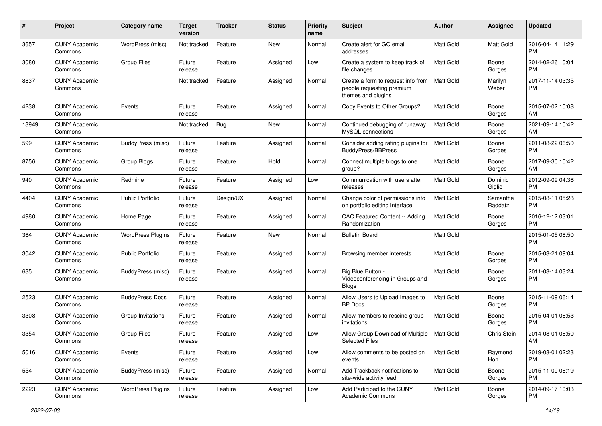| #     | Project                         | <b>Category name</b>     | <b>Target</b><br>version | <b>Tracker</b> | <b>Status</b> | <b>Priority</b><br>name | <b>Subject</b>                                                                        | Author           | <b>Assignee</b>     | <b>Updated</b>                |
|-------|---------------------------------|--------------------------|--------------------------|----------------|---------------|-------------------------|---------------------------------------------------------------------------------------|------------------|---------------------|-------------------------------|
| 3657  | <b>CUNY Academic</b><br>Commons | WordPress (misc)         | Not tracked              | Feature        | New           | Normal                  | Create alert for GC email<br>addresses                                                | <b>Matt Gold</b> | Matt Gold           | 2016-04-14 11:29<br>PM        |
| 3080  | <b>CUNY Academic</b><br>Commons | <b>Group Files</b>       | Future<br>release        | Feature        | Assigned      | Low                     | Create a system to keep track of<br>file changes                                      | <b>Matt Gold</b> | Boone<br>Gorges     | 2014-02-26 10:04<br><b>PM</b> |
| 8837  | <b>CUNY Academic</b><br>Commons |                          | Not tracked              | Feature        | Assigned      | Normal                  | Create a form to request info from<br>people requesting premium<br>themes and plugins | <b>Matt Gold</b> | Marilyn<br>Weber    | 2017-11-14 03:35<br><b>PM</b> |
| 4238  | <b>CUNY Academic</b><br>Commons | Events                   | Future<br>release        | Feature        | Assigned      | Normal                  | Copy Events to Other Groups?                                                          | <b>Matt Gold</b> | Boone<br>Gorges     | 2015-07-02 10:08<br>AM        |
| 13949 | <b>CUNY Academic</b><br>Commons |                          | Not tracked              | Bug            | New           | Normal                  | Continued debugging of runaway<br>MySQL connections                                   | <b>Matt Gold</b> | Boone<br>Gorges     | 2021-09-14 10:42<br>AM        |
| 599   | <b>CUNY Academic</b><br>Commons | BuddyPress (misc)        | Future<br>release        | Feature        | Assigned      | Normal                  | Consider adding rating plugins for<br><b>BuddyPress/BBPress</b>                       | <b>Matt Gold</b> | Boone<br>Gorges     | 2011-08-22 06:50<br><b>PM</b> |
| 8756  | <b>CUNY Academic</b><br>Commons | Group Blogs              | Future<br>release        | Feature        | Hold          | Normal                  | Connect multiple blogs to one<br>group?                                               | <b>Matt Gold</b> | Boone<br>Gorges     | 2017-09-30 10:42<br>AM        |
| 940   | <b>CUNY Academic</b><br>Commons | Redmine                  | Future<br>release        | Feature        | Assigned      | Low                     | Communication with users after<br>releases                                            | <b>Matt Gold</b> | Dominic<br>Giglio   | 2012-09-09 04:36<br><b>PM</b> |
| 4404  | <b>CUNY Academic</b><br>Commons | <b>Public Portfolio</b>  | Future<br>release        | Design/UX      | Assigned      | Normal                  | Change color of permissions info<br>on portfolio editing interface                    | <b>Matt Gold</b> | Samantha<br>Raddatz | 2015-08-11 05:28<br>PM        |
| 4980  | <b>CUNY Academic</b><br>Commons | Home Page                | Future<br>release        | Feature        | Assigned      | Normal                  | CAC Featured Content -- Adding<br>Randomization                                       | <b>Matt Gold</b> | Boone<br>Gorges     | 2016-12-12 03:01<br><b>PM</b> |
| 364   | <b>CUNY Academic</b><br>Commons | <b>WordPress Plugins</b> | Future<br>release        | Feature        | New           | Normal                  | <b>Bulletin Board</b>                                                                 | Matt Gold        |                     | 2015-01-05 08:50<br><b>PM</b> |
| 3042  | <b>CUNY Academic</b><br>Commons | Public Portfolio         | Future<br>release        | Feature        | Assigned      | Normal                  | Browsing member interests                                                             | <b>Matt Gold</b> | Boone<br>Gorges     | 2015-03-21 09:04<br>PM.       |
| 635   | <b>CUNY Academic</b><br>Commons | BuddyPress (misc)        | Future<br>release        | Feature        | Assigned      | Normal                  | Big Blue Button -<br>Videoconferencing in Groups and<br>Blogs                         | <b>Matt Gold</b> | Boone<br>Gorges     | 2011-03-14 03:24<br><b>PM</b> |
| 2523  | <b>CUNY Academic</b><br>Commons | <b>BuddyPress Docs</b>   | Future<br>release        | Feature        | Assigned      | Normal                  | Allow Users to Upload Images to<br><b>BP</b> Docs                                     | Matt Gold        | Boone<br>Gorges     | 2015-11-09 06:14<br><b>PM</b> |
| 3308  | <b>CUNY Academic</b><br>Commons | Group Invitations        | Future<br>release        | Feature        | Assigned      | Normal                  | Allow members to rescind group<br>invitations                                         | Matt Gold        | Boone<br>Gorges     | 2015-04-01 08:53<br><b>PM</b> |
| 3354  | <b>CUNY Academic</b><br>Commons | Group Files              | Future<br>release        | Feature        | Assigned      | Low                     | Allow Group Download of Multiple<br><b>Selected Files</b>                             | Matt Gold        | Chris Stein         | 2014-08-01 08:50<br>AM        |
| 5016  | <b>CUNY Academic</b><br>Commons | Events                   | Future<br>release        | Feature        | Assigned      | Low                     | Allow comments to be posted on<br>events                                              | Matt Gold        | Raymond<br>Hoh      | 2019-03-01 02:23<br><b>PM</b> |
| 554   | <b>CUNY Academic</b><br>Commons | <b>BuddyPress (misc)</b> | Future<br>release        | Feature        | Assigned      | Normal                  | Add Trackback notifications to<br>site-wide activity feed                             | Matt Gold        | Boone<br>Gorges     | 2015-11-09 06:19<br><b>PM</b> |
| 2223  | <b>CUNY Academic</b><br>Commons | <b>WordPress Plugins</b> | Future<br>release        | Feature        | Assigned      | Low                     | Add Participad to the CUNY<br>Academic Commons                                        | Matt Gold        | Boone<br>Gorges     | 2014-09-17 10:03<br>PM        |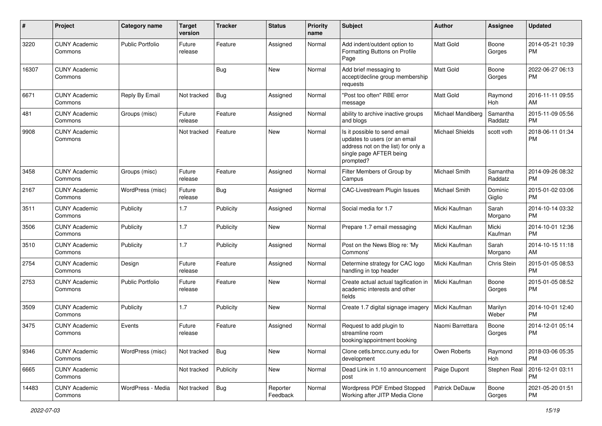| #     | Project                         | <b>Category name</b>    | <b>Target</b><br>version | <b>Tracker</b> | <b>Status</b>        | <b>Priority</b><br>name | Subject                                                                                                                                      | Author                 | <b>Assignee</b>     | <b>Updated</b>                |
|-------|---------------------------------|-------------------------|--------------------------|----------------|----------------------|-------------------------|----------------------------------------------------------------------------------------------------------------------------------------------|------------------------|---------------------|-------------------------------|
| 3220  | <b>CUNY Academic</b><br>Commons | Public Portfolio        | Future<br>release        | Feature        | Assigned             | Normal                  | Add indent/outdent option to<br>Formatting Buttons on Profile<br>Page                                                                        | <b>Matt Gold</b>       | Boone<br>Gorges     | 2014-05-21 10:39<br>PM.       |
| 16307 | <b>CUNY Academic</b><br>Commons |                         |                          | Bug            | New                  | Normal                  | Add brief messaging to<br>accept/decline group membership<br>requests                                                                        | Matt Gold              | Boone<br>Gorges     | 2022-06-27 06:13<br>PM.       |
| 6671  | <b>CUNY Academic</b><br>Commons | Reply By Email          | Not tracked              | <b>Bug</b>     | Assigned             | Normal                  | "Post too often" RBE error<br>message                                                                                                        | <b>Matt Gold</b>       | Raymond<br>Hoh      | 2016-11-11 09:55<br>AM        |
| 481   | <b>CUNY Academic</b><br>Commons | Groups (misc)           | Future<br>release        | Feature        | Assigned             | Normal                  | ability to archive inactive groups<br>and blogs                                                                                              | Michael Mandiberg      | Samantha<br>Raddatz | 2015-11-09 05:56<br><b>PM</b> |
| 9908  | <b>CUNY Academic</b><br>Commons |                         | Not tracked              | Feature        | <b>New</b>           | Normal                  | Is it possible to send email<br>updates to users (or an email<br>address not on the list) for only a<br>single page AFTER being<br>prompted? | <b>Michael Shields</b> | scott voth          | 2018-06-11 01:34<br><b>PM</b> |
| 3458  | <b>CUNY Academic</b><br>Commons | Groups (misc)           | Future<br>release        | Feature        | Assigned             | Normal                  | Filter Members of Group by<br>Campus                                                                                                         | Michael Smith          | Samantha<br>Raddatz | 2014-09-26 08:32<br><b>PM</b> |
| 2167  | <b>CUNY Academic</b><br>Commons | WordPress (misc)        | Future<br>release        | Bug            | Assigned             | Normal                  | <b>CAC-Livestream Plugin Issues</b>                                                                                                          | Michael Smith          | Dominic<br>Giglio   | 2015-01-02 03:06<br>PM.       |
| 3511  | <b>CUNY Academic</b><br>Commons | Publicity               | 1.7                      | Publicity      | Assigned             | Normal                  | Social media for 1.7                                                                                                                         | Micki Kaufman          | Sarah<br>Morgano    | 2014-10-14 03:32<br><b>PM</b> |
| 3506  | <b>CUNY Academic</b><br>Commons | Publicity               | 1.7                      | Publicity      | <b>New</b>           | Normal                  | Prepare 1.7 email messaging                                                                                                                  | Micki Kaufman          | Micki<br>Kaufman    | 2014-10-01 12:36<br><b>PM</b> |
| 3510  | <b>CUNY Academic</b><br>Commons | Publicity               | 1.7                      | Publicity      | Assigned             | Normal                  | Post on the News Blog re: 'My<br>Commons'                                                                                                    | Micki Kaufman          | Sarah<br>Morgano    | 2014-10-15 11:18<br>AM        |
| 2754  | <b>CUNY Academic</b><br>Commons | Design                  | Future<br>release        | Feature        | Assigned             | Normal                  | Determine strategy for CAC logo<br>handling in top header                                                                                    | Micki Kaufman          | Chris Stein         | 2015-01-05 08:53<br><b>PM</b> |
| 2753  | <b>CUNY Academic</b><br>Commons | <b>Public Portfolio</b> | Future<br>release        | Feature        | New                  | Normal                  | Create actual actual tagification in<br>academic interests and other<br>fields                                                               | Micki Kaufman          | Boone<br>Gorges     | 2015-01-05 08:52<br><b>PM</b> |
| 3509  | <b>CUNY Academic</b><br>Commons | Publicity               | 1.7                      | Publicity      | <b>New</b>           | Normal                  | Create 1.7 digital signage imagery                                                                                                           | Micki Kaufman          | Marilyn<br>Weber    | 2014-10-01 12:40<br><b>PM</b> |
| 3475  | <b>CUNY Academic</b><br>Commons | Events                  | Future<br>release        | Feature        | Assigned             | Normal                  | Request to add plugin to<br>streamline room<br>booking/appointment booking                                                                   | Naomi Barrettara       | Boone<br>Gorges     | 2014-12-01 05:14<br><b>PM</b> |
| 9346  | <b>CUNY Academic</b><br>Commons | WordPress (misc)        | Not tracked              | Bug            | New                  | Normal                  | Clone cetls.bmcc.cuny.edu for<br>development                                                                                                 | Owen Roberts           | Raymond<br>Hoh      | 2018-03-06 05:35<br><b>PM</b> |
| 6665  | <b>CUNY Academic</b><br>Commons |                         | Not tracked              | Publicity      | New                  | Normal                  | Dead Link in 1.10 announcement<br>post                                                                                                       | Paige Dupont           | Stephen Real        | 2016-12-01 03:11<br>PM.       |
| 14483 | <b>CUNY Academic</b><br>Commons | WordPress - Media       | Not tracked              | <b>Bug</b>     | Reporter<br>Feedback | Normal                  | Wordpress PDF Embed Stopped<br>Working after JITP Media Clone                                                                                | Patrick DeDauw         | Boone<br>Gorges     | 2021-05-20 01:51<br>PM        |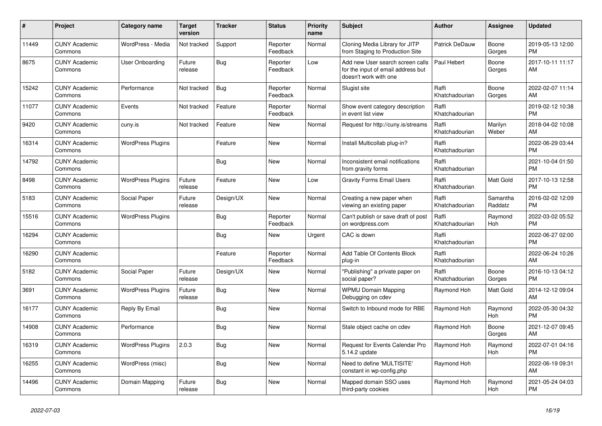| #     | <b>Project</b>                  | <b>Category name</b>     | <b>Target</b><br>version | <b>Tracker</b> | <b>Status</b>        | <b>Priority</b><br>name | <b>Subject</b>                                                                                  | <b>Author</b>           | Assignee            | <b>Updated</b>                |
|-------|---------------------------------|--------------------------|--------------------------|----------------|----------------------|-------------------------|-------------------------------------------------------------------------------------------------|-------------------------|---------------------|-------------------------------|
| 11449 | <b>CUNY Academic</b><br>Commons | WordPress - Media        | Not tracked              | Support        | Reporter<br>Feedback | Normal                  | Cloning Media Library for JITP<br>from Staging to Production Site                               | Patrick DeDauw          | Boone<br>Gorges     | 2019-05-13 12:00<br><b>PM</b> |
| 8675  | <b>CUNY Academic</b><br>Commons | <b>User Onboarding</b>   | Future<br>release        | Bug            | Reporter<br>Feedback | Low                     | Add new User search screen calls<br>for the input of email address but<br>doesn't work with one | Paul Hebert             | Boone<br>Gorges     | 2017-10-11 11:17<br>AM        |
| 15242 | <b>CUNY Academic</b><br>Commons | Performance              | Not tracked              | Bug            | Reporter<br>Feedback | Normal                  | Slugist site                                                                                    | Raffi<br>Khatchadourian | Boone<br>Gorges     | 2022-02-07 11:14<br>AM        |
| 11077 | <b>CUNY Academic</b><br>Commons | Events                   | Not tracked              | Feature        | Reporter<br>Feedback | Normal                  | Show event category description<br>in event list view                                           | Raffi<br>Khatchadourian |                     | 2019-02-12 10:38<br><b>PM</b> |
| 9420  | <b>CUNY Academic</b><br>Commons | cuny.is                  | Not tracked              | Feature        | New                  | Normal                  | Request for http://cuny.is/streams                                                              | Raffi<br>Khatchadourian | Marilyn<br>Weber    | 2018-04-02 10:08<br>AM        |
| 16314 | <b>CUNY Academic</b><br>Commons | <b>WordPress Plugins</b> |                          | Feature        | <b>New</b>           | Normal                  | Install Multicollab plug-in?                                                                    | Raffi<br>Khatchadourian |                     | 2022-06-29 03:44<br><b>PM</b> |
| 14792 | <b>CUNY Academic</b><br>Commons |                          |                          | <b>Bug</b>     | <b>New</b>           | Normal                  | Inconsistent email notifications<br>from gravity forms                                          | Raffi<br>Khatchadourian |                     | 2021-10-04 01:50<br><b>PM</b> |
| 8498  | <b>CUNY Academic</b><br>Commons | <b>WordPress Plugins</b> | Future<br>release        | Feature        | <b>New</b>           | Low                     | <b>Gravity Forms Email Users</b>                                                                | Raffi<br>Khatchadourian | Matt Gold           | 2017-10-13 12:58<br><b>PM</b> |
| 5183  | <b>CUNY Academic</b><br>Commons | Social Paper             | Future<br>release        | Design/UX      | <b>New</b>           | Normal                  | Creating a new paper when<br>viewing an existing paper                                          | Raffi<br>Khatchadourian | Samantha<br>Raddatz | 2016-02-02 12:09<br><b>PM</b> |
| 15516 | <b>CUNY Academic</b><br>Commons | <b>WordPress Plugins</b> |                          | Bug            | Reporter<br>Feedback | Normal                  | Can't publish or save draft of post<br>on wordpress.com                                         | Raffi<br>Khatchadourian | Raymond<br>Hoh      | 2022-03-02 05:52<br><b>PM</b> |
| 16294 | <b>CUNY Academic</b><br>Commons |                          |                          | Bug            | New                  | Urgent                  | CAC is down                                                                                     | Raffi<br>Khatchadourian |                     | 2022-06-27 02:00<br><b>PM</b> |
| 16290 | <b>CUNY Academic</b><br>Commons |                          |                          | Feature        | Reporter<br>Feedback | Normal                  | Add Table Of Contents Block<br>plug-in                                                          | Raffi<br>Khatchadourian |                     | 2022-06-24 10:26<br>AM        |
| 5182  | <b>CUNY Academic</b><br>Commons | Social Paper             | Future<br>release        | Design/UX      | <b>New</b>           | Normal                  | "Publishing" a private paper on<br>social paper?                                                | Raffi<br>Khatchadourian | Boone<br>Gorges     | 2016-10-13 04:12<br><b>PM</b> |
| 3691  | <b>CUNY Academic</b><br>Commons | <b>WordPress Plugins</b> | Future<br>release        | Bug            | New                  | Normal                  | <b>WPMU Domain Mapping</b><br>Debugging on cdev                                                 | Raymond Hoh             | Matt Gold           | 2014-12-12 09:04<br>AM        |
| 16177 | <b>CUNY Academic</b><br>Commons | Reply By Email           |                          | <b>Bug</b>     | <b>New</b>           | Normal                  | Switch to Inbound mode for RBE                                                                  | Raymond Hoh             | Raymond<br>Hoh      | 2022-05-30 04:32<br><b>PM</b> |
| 14908 | <b>CUNY Academic</b><br>Commons | Performance              |                          | Bug            | <b>New</b>           | Normal                  | Stale object cache on cdev                                                                      | Raymond Hoh             | Boone<br>Gorges     | 2021-12-07 09:45<br>AM        |
| 16319 | <b>CUNY Academic</b><br>Commons | <b>WordPress Plugins</b> | 2.0.3                    | Bug            | New                  | Normal                  | Request for Events Calendar Pro<br>5.14.2 update                                                | Raymond Hoh             | Raymond<br>Hoh      | 2022-07-01 04:16<br><b>PM</b> |
| 16255 | <b>CUNY Academic</b><br>Commons | WordPress (misc)         |                          | <b>Bug</b>     | New                  | Normal                  | Need to define 'MULTISITE'<br>constant in wp-config.php                                         | Raymond Hoh             |                     | 2022-06-19 09:31<br>AM        |
| 14496 | <b>CUNY Academic</b><br>Commons | Domain Mapping           | Future<br>release        | Bug            | <b>New</b>           | Normal                  | Mapped domain SSO uses<br>third-party cookies                                                   | Raymond Hoh             | Raymond<br>Hoh      | 2021-05-24 04:03<br><b>PM</b> |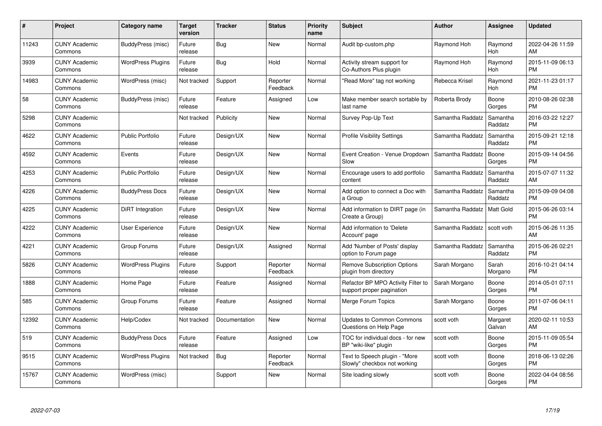| #     | <b>Project</b>                  | Category name            | Target<br>version | <b>Tracker</b> | <b>Status</b>        | <b>Priority</b><br>name | <b>Subject</b>                                                  | <b>Author</b>    | Assignee            | <b>Updated</b>                |
|-------|---------------------------------|--------------------------|-------------------|----------------|----------------------|-------------------------|-----------------------------------------------------------------|------------------|---------------------|-------------------------------|
| 11243 | <b>CUNY Academic</b><br>Commons | BuddyPress (misc)        | Future<br>release | <b>Bug</b>     | <b>New</b>           | Normal                  | Audit bp-custom.php                                             | Raymond Hoh      | Raymond<br>Hoh      | 2022-04-26 11:59<br>AM        |
| 3939  | <b>CUNY Academic</b><br>Commons | <b>WordPress Plugins</b> | Future<br>release | Bug            | Hold                 | Normal                  | Activity stream support for<br>Co-Authors Plus plugin           | Raymond Hoh      | Raymond<br>Hoh      | 2015-11-09 06:13<br><b>PM</b> |
| 14983 | <b>CUNY Academic</b><br>Commons | WordPress (misc)         | Not tracked       | Support        | Reporter<br>Feedback | Normal                  | "Read More" tag not working                                     | Rebecca Krisel   | Raymond<br>Hoh      | 2021-11-23 01:17<br><b>PM</b> |
| 58    | <b>CUNY Academic</b><br>Commons | BuddyPress (misc)        | Future<br>release | Feature        | Assigned             | Low                     | Make member search sortable by<br>last name                     | Roberta Brody    | Boone<br>Gorges     | 2010-08-26 02:38<br><b>PM</b> |
| 5298  | <b>CUNY Academic</b><br>Commons |                          | Not tracked       | Publicity      | <b>New</b>           | Normal                  | Survey Pop-Up Text                                              | Samantha Raddatz | Samantha<br>Raddatz | 2016-03-22 12:27<br><b>PM</b> |
| 4622  | <b>CUNY Academic</b><br>Commons | <b>Public Portfolio</b>  | Future<br>release | Design/UX      | <b>New</b>           | Normal                  | <b>Profile Visibility Settings</b>                              | Samantha Raddatz | Samantha<br>Raddatz | 2015-09-21 12:18<br><b>PM</b> |
| 4592  | <b>CUNY Academic</b><br>Commons | Events                   | Future<br>release | Design/UX      | New                  | Normal                  | Event Creation - Venue Dropdown<br>Slow                         | Samantha Raddatz | Boone<br>Gorges     | 2015-09-14 04:56<br><b>PM</b> |
| 4253  | <b>CUNY Academic</b><br>Commons | <b>Public Portfolio</b>  | Future<br>release | Design/UX      | <b>New</b>           | Normal                  | Encourage users to add portfolio<br>content                     | Samantha Raddatz | Samantha<br>Raddatz | 2015-07-07 11:32<br>AM        |
| 4226  | <b>CUNY Academic</b><br>Commons | <b>BuddyPress Docs</b>   | Future<br>release | Design/UX      | <b>New</b>           | Normal                  | Add option to connect a Doc with<br>a Group                     | Samantha Raddatz | Samantha<br>Raddatz | 2015-09-09 04:08<br><b>PM</b> |
| 4225  | <b>CUNY Academic</b><br>Commons | <b>DiRT</b> Integration  | Future<br>release | Design/UX      | <b>New</b>           | Normal                  | Add information to DIRT page (in<br>Create a Group)             | Samantha Raddatz | Matt Gold           | 2015-06-26 03:14<br><b>PM</b> |
| 4222  | <b>CUNY Academic</b><br>Commons | <b>User Experience</b>   | Future<br>release | Design/UX      | New                  | Normal                  | Add information to 'Delete<br>Account' page                     | Samantha Raddatz | scott voth          | 2015-06-26 11:35<br>AM        |
| 4221  | <b>CUNY Academic</b><br>Commons | Group Forums             | Future<br>release | Design/UX      | Assigned             | Normal                  | Add 'Number of Posts' display<br>option to Forum page           | Samantha Raddatz | Samantha<br>Raddatz | 2015-06-26 02:21<br><b>PM</b> |
| 5826  | <b>CUNY Academic</b><br>Commons | <b>WordPress Plugins</b> | Future<br>release | Support        | Reporter<br>Feedback | Normal                  | <b>Remove Subscription Options</b><br>plugin from directory     | Sarah Morgano    | Sarah<br>Morgano    | 2016-10-21 04:14<br><b>PM</b> |
| 1888  | <b>CUNY Academic</b><br>Commons | Home Page                | Future<br>release | Feature        | Assigned             | Normal                  | Refactor BP MPO Activity Filter to<br>support proper pagination | Sarah Morgano    | Boone<br>Gorges     | 2014-05-01 07:11<br>PM.       |
| 585   | <b>CUNY Academic</b><br>Commons | Group Forums             | Future<br>release | Feature        | Assigned             | Normal                  | Merge Forum Topics                                              | Sarah Morgano    | Boone<br>Gorges     | 2011-07-06 04:11<br><b>PM</b> |
| 12392 | <b>CUNY Academic</b><br>Commons | Help/Codex               | Not tracked       | Documentation  | <b>New</b>           | Normal                  | <b>Updates to Common Commons</b><br>Questions on Help Page      | scott voth       | Margaret<br>Galvan  | 2020-02-11 10:53<br><b>AM</b> |
| 519   | <b>CUNY Academic</b><br>Commons | <b>BuddyPress Docs</b>   | Future<br>release | Feature        | Assigned             | Low                     | TOC for individual docs - for new<br>BP "wiki-like" plugin      | scott voth       | Boone<br>Gorges     | 2015-11-09 05:54<br><b>PM</b> |
| 9515  | <b>CUNY Academic</b><br>Commons | <b>WordPress Plugins</b> | Not tracked       | Bug            | Reporter<br>Feedback | Normal                  | Text to Speech plugin - "More<br>Slowly" checkbox not working   | scott voth       | Boone<br>Gorges     | 2018-06-13 02:26<br><b>PM</b> |
| 15767 | <b>CUNY Academic</b><br>Commons | WordPress (misc)         |                   | Support        | <b>New</b>           | Normal                  | Site loading slowly                                             | scott voth       | Boone<br>Gorges     | 2022-04-04 08:56<br>PM        |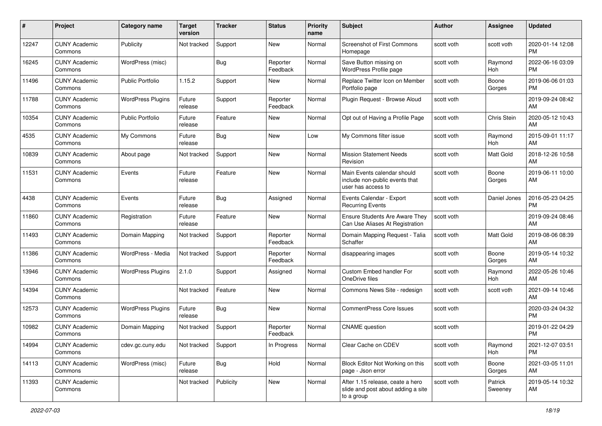| #     | Project                         | <b>Category name</b>     | <b>Target</b><br>version | <b>Tracker</b> | <b>Status</b>        | Priority<br>name | <b>Subject</b>                                                                       | <b>Author</b> | <b>Assignee</b>    | <b>Updated</b>                |
|-------|---------------------------------|--------------------------|--------------------------|----------------|----------------------|------------------|--------------------------------------------------------------------------------------|---------------|--------------------|-------------------------------|
| 12247 | <b>CUNY Academic</b><br>Commons | Publicity                | Not tracked              | Support        | <b>New</b>           | Normal           | <b>Screenshot of First Commons</b><br>Homepage                                       | scott voth    | scott voth         | 2020-01-14 12:08<br><b>PM</b> |
| 16245 | <b>CUNY Academic</b><br>Commons | WordPress (misc)         |                          | <b>Bug</b>     | Reporter<br>Feedback | Normal           | Save Button missing on<br>WordPress Profile page                                     | scott voth    | Raymond<br>Hoh     | 2022-06-16 03:09<br><b>PM</b> |
| 11496 | <b>CUNY Academic</b><br>Commons | <b>Public Portfolio</b>  | 1.15.2                   | Support        | New                  | Normal           | Replace Twitter Icon on Member<br>Portfolio page                                     | scott voth    | Boone<br>Gorges    | 2019-06-06 01:03<br><b>PM</b> |
| 11788 | <b>CUNY Academic</b><br>Commons | <b>WordPress Plugins</b> | Future<br>release        | Support        | Reporter<br>Feedback | Normal           | Plugin Request - Browse Aloud                                                        | scott voth    |                    | 2019-09-24 08:42<br>AM        |
| 10354 | <b>CUNY Academic</b><br>Commons | Public Portfolio         | Future<br>release        | Feature        | New                  | Normal           | Opt out of Having a Profile Page                                                     | scott voth    | Chris Stein        | 2020-05-12 10:43<br>AM        |
| 4535  | <b>CUNY Academic</b><br>Commons | My Commons               | Future<br>release        | Bug            | New                  | Low              | My Commons filter issue                                                              | scott voth    | Raymond<br>Hoh     | 2015-09-01 11:17<br>AM        |
| 10839 | <b>CUNY Academic</b><br>Commons | About page               | Not tracked              | Support        | New                  | Normal           | <b>Mission Statement Needs</b><br>Revision                                           | scott voth    | Matt Gold          | 2018-12-26 10:58<br>AM        |
| 11531 | <b>CUNY Academic</b><br>Commons | Events                   | Future<br>release        | Feature        | <b>New</b>           | Normal           | Main Events calendar should<br>include non-public events that<br>user has access to  | scott voth    | Boone<br>Gorges    | 2019-06-11 10:00<br>AM        |
| 4438  | <b>CUNY Academic</b><br>Commons | Events                   | Future<br>release        | Bug            | Assigned             | Normal           | Events Calendar - Export<br><b>Recurring Events</b>                                  | scott voth    | Daniel Jones       | 2016-05-23 04:25<br><b>PM</b> |
| 11860 | <b>CUNY Academic</b><br>Commons | Registration             | Future<br>release        | Feature        | New                  | Normal           | <b>Ensure Students Are Aware They</b><br>Can Use Aliases At Registration             | scott voth    |                    | 2019-09-24 08:46<br>AM        |
| 11493 | <b>CUNY Academic</b><br>Commons | Domain Mapping           | Not tracked              | Support        | Reporter<br>Feedback | Normal           | Domain Mapping Request - Talia<br>Schaffer                                           | scott voth    | Matt Gold          | 2019-08-06 08:39<br>AM        |
| 11386 | <b>CUNY Academic</b><br>Commons | WordPress - Media        | Not tracked              | Support        | Reporter<br>Feedback | Normal           | disappearing images                                                                  | scott voth    | Boone<br>Gorges    | 2019-05-14 10:32<br>AM        |
| 13946 | <b>CUNY Academic</b><br>Commons | <b>WordPress Plugins</b> | 2.1.0                    | Support        | Assigned             | Normal           | Custom Embed handler For<br>OneDrive files                                           | scott voth    | Raymond<br>Hoh     | 2022-05-26 10:46<br>AM        |
| 14394 | <b>CUNY Academic</b><br>Commons |                          | Not tracked              | Feature        | New                  | Normal           | Commons News Site - redesign                                                         | scott voth    | scott voth         | 2021-09-14 10:46<br>AM        |
| 12573 | <b>CUNY Academic</b><br>Commons | <b>WordPress Plugins</b> | Future<br>release        | Bug            | New                  | Normal           | <b>CommentPress Core Issues</b>                                                      | scott voth    |                    | 2020-03-24 04:32<br><b>PM</b> |
| 10982 | <b>CUNY Academic</b><br>Commons | Domain Mapping           | Not tracked              | Support        | Reporter<br>Feedback | Normal           | <b>CNAME</b> question                                                                | scott voth    |                    | 2019-01-22 04:29<br><b>PM</b> |
| 14994 | <b>CUNY Academic</b><br>Commons | cdev.gc.cuny.edu         | Not tracked              | Support        | In Progress          | Normal           | Clear Cache on CDEV                                                                  | scott voth    | Raymond<br>Hoh     | 2021-12-07 03:51<br>PM        |
| 14113 | <b>CUNY Academic</b><br>Commons | WordPress (misc)         | Future<br>release        | <b>Bug</b>     | Hold                 | Normal           | Block Editor Not Working on this<br>page - Json error                                | scott voth    | Boone<br>Gorges    | 2021-03-05 11:01<br>AM        |
| 11393 | <b>CUNY Academic</b><br>Commons |                          | Not tracked              | Publicity      | New                  | Normal           | After 1.15 release, ceate a hero<br>slide and post about adding a site<br>to a group | scott voth    | Patrick<br>Sweeney | 2019-05-14 10:32<br>AM        |